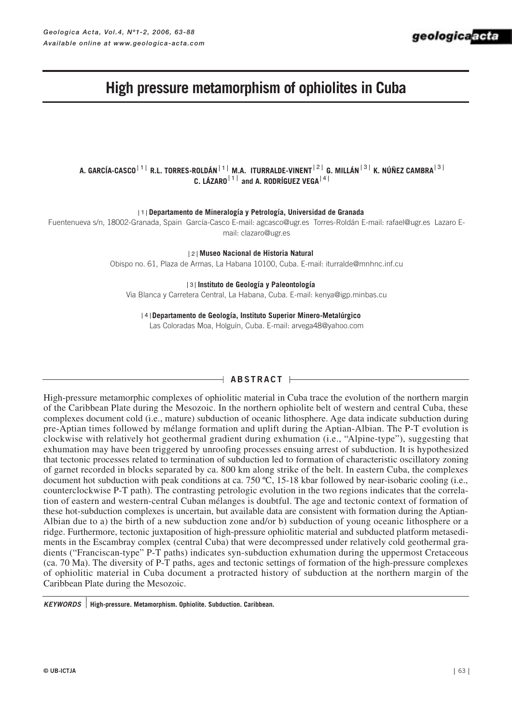# **High pressure metamorphism of ophiolites in Cuba**

A. GARCÍA-CASCO<sup>† 1 |</sup> R.L. TORRES-ROLDÁN <sup>| 1 |</sup> M.A. ITURRALDE-VINENT <sup>| 2 |</sup> G. MILLÁN <sup>| 3 |</sup> K. NÚÑEZ CAMBRA <sup>| 3</sup> C. LÁZARO $|1|$  and A. RODRÍGUEZ VEGA<sup> $|4$ </sup>

**Departamento de Mineralogía y Petrología, Universidad de Granada** 1

Fuentenueva s/n, 18002-Granada, Spain García-Casco E-mail: agcasco@ugr.es Torres-Roldán E-mail: rafael@ugr.es Lazaro Email: clazaro@ugr.es

**Museo Nacional de Historia Natural** 2

Obispo no. 61, Plaza de Armas, La Habana 10100, Cuba. E-mail: iturralde@mnhnc.inf.cu

**Instituto de Geología y Paleontología** 3

Via Blanca y Carretera Central, La Habana, Cuba. E-mail: kenya@igp.minbas.cu

**Departamento de Geología, Instituto Superior Minero-Metalúrgico** 4

Las Coloradas Moa, Holguín, Cuba. E-mail: arvega48@yahoo.com

# $\rightarrow$  Abstract  $\leftarrow$

High-pressure metamorphic complexes of ophiolitic material in Cuba trace the evolution of the northern margin of the Caribbean Plate during the Mesozoic. In the northern ophiolite belt of western and central Cuba, these complexes document cold (i.e., mature) subduction of oceanic lithosphere. Age data indicate subduction during pre-Aptian times followed by mélange formation and uplift during the Aptian-Albian. The P-T evolution is clockwise with relatively hot geothermal gradient during exhumation (i.e., "Alpine-type"), suggesting that exhumation may have been triggered by unroofing processes ensuing arrest of subduction. It is hypothesized that tectonic processes related to termination of subduction led to formation of characteristic oscillatory zoning of garnet recorded in blocks separated by ca. 800 km along strike of the belt. In eastern Cuba, the complexes document hot subduction with peak conditions at ca. 750 ºC, 15-18 kbar followed by near-isobaric cooling (i.e., counterclockwise P-T path). The contrasting petrologic evolution in the two regions indicates that the correlation of eastern and western-central Cuban mélanges is doubtful. The age and tectonic context of formation of these hot-subduction complexes is uncertain, but available data are consistent with formation during the Aptian-Albian due to a) the birth of a new subduction zone and/or b) subduction of young oceanic lithosphere or a ridge. Furthermore, tectonic juxtaposition of high-pressure ophiolitic material and subducted platform metasediments in the Escambray complex (central Cuba) that were decompressed under relatively cold geothermal gradients ("Franciscan-type" P-T paths) indicates syn-subduction exhumation during the uppermost Cretaceous (ca. 70 Ma). The diversity of P-T paths, ages and tectonic settings of formation of the high-pressure complexes of ophiolitic material in Cuba document a protracted history of subduction at the northern margin of the Caribbean Plate during the Mesozoic.

**High-pressure. Metamorphism. Ophiolite. Subduction. Caribbean.** *KEYWORDS*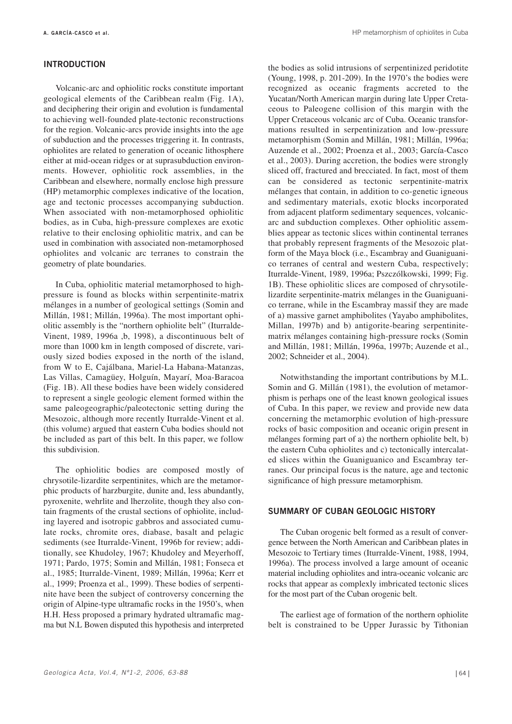#### **INTRODUCTION**

Volcanic-arc and ophiolitic rocks constitute important geological elements of the Caribbean realm (Fig. 1A), and deciphering their origin and evolution is fundamental to achieving well-founded plate-tectonic reconstructions for the region. Volcanic-arcs provide insights into the age of subduction and the processes triggering it. In contrasts, ophiolites are related to generation of oceanic lithosphere either at mid-ocean ridges or at suprasubduction environments. However, ophiolitic rock assemblies, in the Caribbean and elsewhere, normally enclose high pressure (HP) metamorphic complexes indicative of the location, age and tectonic processes accompanying subduction. When associated with non-metamorphosed ophiolitic bodies, as in Cuba, high-pressure complexes are exotic relative to their enclosing ophiolitic matrix, and can be used in combination with associated non-metamorphosed ophiolites and volcanic arc terranes to constrain the geometry of plate boundaries.

In Cuba, ophiolitic material metamorphosed to highpressure is found as blocks within serpentinite-matrix mélanges in a number of geological settings (Somin and Millán, 1981; Millán, 1996a). The most important ophiolitic assembly is the "northern ophiolite belt" (Iturralde-Vinent, 1989, 1996a ,b, 1998), a discontinuous belt of more than 1000 km in length composed of discrete, variously sized bodies exposed in the north of the island, from W to E, Cajálbana, Mariel-La Habana-Matanzas, Las Villas, Camagüey, Holguín, Mayarí, Moa-Baracoa (Fig. 1B). All these bodies have been widely considered to represent a single geologic element formed within the same paleogeographic/paleotectonic setting during the Mesozoic, although more recently Iturralde-Vinent et al. (this volume) argued that eastern Cuba bodies should not be included as part of this belt. In this paper, we follow this subdivision.

The ophiolitic bodies are composed mostly of chrysotile-lizardite serpentinites, which are the metamorphic products of harzburgite, dunite and, less abundantly, pyroxenite, wehrlite and lherzolite, though they also contain fragments of the crustal sections of ophiolite, including layered and isotropic gabbros and associated cumulate rocks, chromite ores, diabase, basalt and pelagic sediments (see Iturralde-Vinent, 1996b for review; additionally, see Khudoley, 1967; Khudoley and Meyerhoff, 1971; Pardo, 1975; Somin and Millán, 1981; Fonseca et al., 1985; Iturralde-Vinent, 1989; Millán, 1996a; Kerr et al., 1999; Proenza et al., 1999). These bodies of serpentinite have been the subject of controversy concerning the origin of Alpine-type ultramafic rocks in the 1950's, when H.H. Hess proposed a primary hydrated ultramafic magma but N.L Bowen disputed this hypothesis and interpreted

the bodies as solid intrusions of serpentinized peridotite (Young, 1998, p. 201-209). In the 1970's the bodies were recognized as oceanic fragments accreted to the Yucatan/North American margin during late Upper Cretaceous to Paleogene collision of this margin with the Upper Cretaceous volcanic arc of Cuba. Oceanic transformations resulted in serpentinization and low-pressure metamorphism (Somin and Millán, 1981; Millán, 1996a; Auzende et al., 2002; Proenza et al., 2003; García-Casco et al., 2003). During accretion, the bodies were strongly sliced off, fractured and brecciated. In fact, most of them can be considered as tectonic serpentinite-matrix mélanges that contain, in addition to co-genetic igneous and sedimentary materials, exotic blocks incorporated from adjacent platform sedimentary sequences, volcanicarc and subduction complexes. Other ophiolitic assemblies appear as tectonic slices within continental terranes that probably represent fragments of the Mesozoic platform of the Maya block (i.e., Escambray and Guaniguanico terranes of central and western Cuba, respectively; Iturralde-Vinent, 1989, 1996a; Pszczólkowski, 1999; Fig. 1B). These ophiolitic slices are composed of chrysotilelizardite serpentinite-matrix mélanges in the Guaniguanico terrane, while in the Escambray massif they are made of a) massive garnet amphibolites (Yayabo amphibolites, Millan, 1997b) and b) antigorite-bearing serpentinitematrix mélanges containing high-pressure rocks (Somin and Millán, 1981; Millán, 1996a, 1997b; Auzende et al., 2002; Schneider et al., 2004).

Notwithstanding the important contributions by M.L. Somin and G. Millán (1981), the evolution of metamorphism is perhaps one of the least known geological issues of Cuba. In this paper, we review and provide new data concerning the metamorphic evolution of high-pressure rocks of basic composition and oceanic origin present in mélanges forming part of a) the northern ophiolite belt, b) the eastern Cuba ophiolites and c) tectonically intercalated slices within the Guaniguanico and Escambray terranes. Our principal focus is the nature, age and tectonic significance of high pressure metamorphism.

## **SUMMARY OF CUBAN GEOLOGIC HISTORY**

The Cuban orogenic belt formed as a result of convergence between the North American and Caribbean plates in Mesozoic to Tertiary times (Iturralde-Vinent, 1988, 1994, 1996a). The process involved a large amount of oceanic material including ophiolites and intra-oceanic volcanic arc rocks that appear as complexly imbricated tectonic slices for the most part of the Cuban orogenic belt.

The earliest age of formation of the northern ophiolite belt is constrained to be Upper Jurassic by Tithonian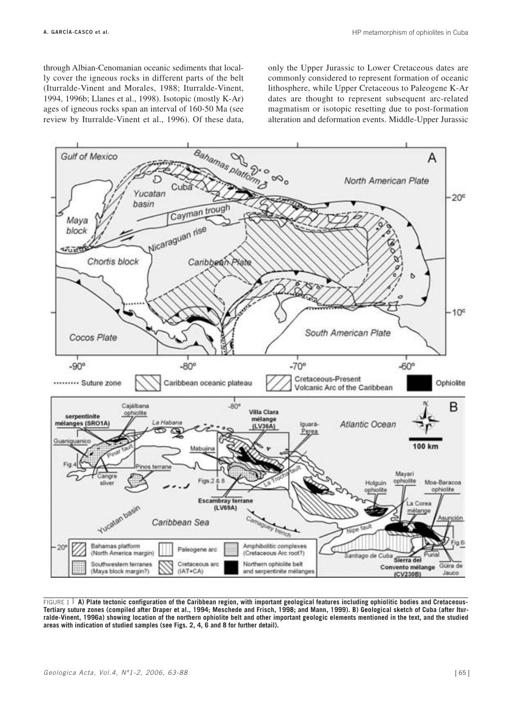through Albian-Cenomanian oceanic sediments that locally cover the igneous rocks in different parts of the belt (Iturralde-Vinent and Morales, 1988; Iturralde-Vinent, 1994, 1996b; Llanes et al., 1998). Isotopic (mostly K-Ar) ages of igneous rocks span an interval of 160-50 Ma (see review by Iturralde-Vinent et al., 1996). Of these data, only the Upper Jurassic to Lower Cretaceous dates are commonly considered to represent formation of oceanic lithosphere, while Upper Cretaceous to Paleogene K-Ar dates are thought to represent subsequent arc-related magmatism or isotopic resetting due to post-formation alteration and deformation events. Middle-Upper Jurassic



FIGURE 1 **A) Plate tectonic configuration of the Caribbean region, with important geological features including ophiolitic bodies and Cretaceous-Tertiary suture zones (compiled after Draper et al., 1994; Meschede and Frisch, 1998; and Mann, 1999). B) Geological sketch of Cuba (after Iturralde-Vinent, 1996a) showing location of the northern ophiolite belt and other important geologic elements mentioned in the text, and the studied areas with indication of studied samples (see Figs. 2, 4, 6 and 8 for further detail).**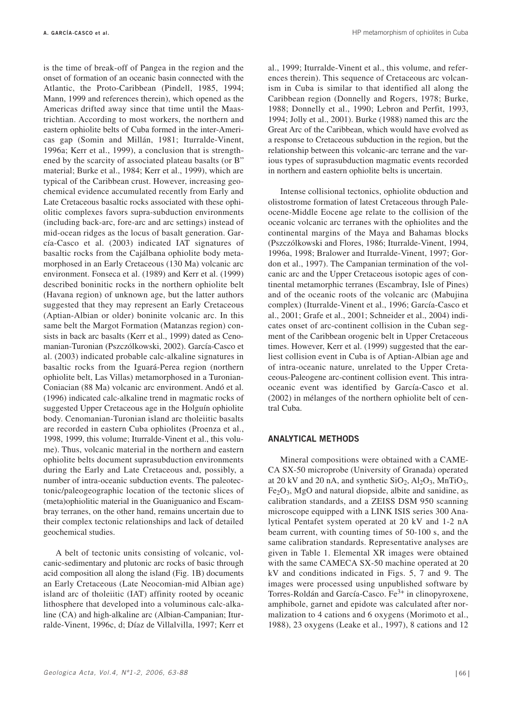is the time of break-off of Pangea in the region and the onset of formation of an oceanic basin connected with the Atlantic, the Proto-Caribbean (Pindell, 1985, 1994; Mann, 1999 and references therein), which opened as the Americas drifted away since that time until the Maastrichtian. According to most workers, the northern and eastern ophiolite belts of Cuba formed in the inter-Americas gap (Somin and Millán, 1981; Iturralde-Vinent, 1996a; Kerr et al., 1999), a conclusion that is strengthened by the scarcity of associated plateau basalts (or B" material; Burke et al., 1984; Kerr et al., 1999), which are typical of the Caribbean crust. However, increasing geochemical evidence accumulated recently from Early and Late Cretaceous basaltic rocks associated with these ophiolitic complexes favors supra-subduction environments (including back-arc, fore-arc and arc settings) instead of mid-ocean ridges as the locus of basalt generation. García-Casco et al. (2003) indicated IAT signatures of basaltic rocks from the Cajálbana ophiolite body metamorphosed in an Early Cretaceous (130 Ma) volcanic arc environment. Fonseca et al. (1989) and Kerr et al. (1999) described boninitic rocks in the northern ophiolite belt (Havana region) of unknown age, but the latter authors suggested that they may represent an Early Cretaceous (Aptian-Albian or older) boninite volcanic arc. In this same belt the Margot Formation (Matanzas region) consists in back arc basalts (Kerr et al., 1999) dated as Cenomanian-Turonian (Pszczólkowski, 2002). García-Casco et al. (2003) indicated probable calc-alkaline signatures in basaltic rocks from the Iguará-Perea region (northern ophiolite belt, Las Villas) metamorphosed in a Turonian-Coniacian (88 Ma) volcanic arc environment. Andó et al. (1996) indicated calc-alkaline trend in magmatic rocks of suggested Upper Cretaceous age in the Holguín ophiolite body. Cenomanian-Turonian island arc tholeiitic basalts are recorded in eastern Cuba ophiolites (Proenza et al., 1998, 1999, this volume; Iturralde-Vinent et al., this volume). Thus, volcanic material in the northern and eastern ophiolite belts document suprasubduction environments during the Early and Late Cretaceous and, possibly, a number of intra-oceanic subduction events. The paleotectonic/paleogeographic location of the tectonic slices of (meta)ophiolitic material in the Guaniguanico and Escambray terranes, on the other hand, remains uncertain due to their complex tectonic relationships and lack of detailed geochemical studies.

A belt of tectonic units consisting of volcanic, volcanic-sedimentary and plutonic arc rocks of basic through acid composition all along the island (Fig. 1B) documents an Early Cretaceous (Late Neocomian-mid Albian age) island arc of tholeiitic (IAT) affinity rooted by oceanic lithosphere that developed into a voluminous calc-alkaline (CA) and high-alkaline arc (Albian-Campanian; Iturralde-Vinent, 1996c, d; Díaz de Villalvilla, 1997; Kerr et al., 1999; Iturralde-Vinent et al., this volume, and references therein). This sequence of Cretaceous arc volcanism in Cuba is similar to that identified all along the Caribbean region (Donnelly and Rogers, 1978; Burke, 1988; Donnelly et al., 1990; Lebron and Perfit, 1993, 1994; Jolly et al., 2001). Burke (1988) named this arc the Great Arc of the Caribbean, which would have evolved as a response to Cretaceous subduction in the region, but the relationship between this volcanic-arc terrane and the various types of suprasubduction magmatic events recorded in northern and eastern ophiolite belts is uncertain.

Intense collisional tectonics, ophiolite obduction and olistostrome formation of latest Cretaceous through Paleocene-Middle Eocene age relate to the collision of the oceanic volcanic arc terranes with the ophiolites and the continental margins of the Maya and Bahamas blocks (Pszczólkowski and Flores, 1986; Iturralde-Vinent, 1994, 1996a, 1998; Bralower and Iturralde-Vinent, 1997; Gordon et al., 1997). The Campanian termination of the volcanic arc and the Upper Cretaceous isotopic ages of continental metamorphic terranes (Escambray, Isle of Pines) and of the oceanic roots of the volcanic arc (Mabujina complex) (Iturralde-Vinent et al., 1996; García-Casco et al., 2001; Grafe et al., 2001; Schneider et al., 2004) indicates onset of arc-continent collision in the Cuban segment of the Caribbean orogenic belt in Upper Cretaceous times. However, Kerr et al. (1999) suggested that the earliest collision event in Cuba is of Aptian-Albian age and of intra-oceanic nature, unrelated to the Upper Cretaceous-Paleogene arc-continent collision event. This intraoceanic event was identified by García-Casco et al. (2002) in mélanges of the northern ophiolite belt of central Cuba.

## **ANALYTICAL METHODS**

Mineral compositions were obtained with a CAME-CA SX-50 microprobe (University of Granada) operated at 20 kV and 20 nA, and synthetic  $SiO_2$ ,  $Al_2O_3$ ,  $MnTiO_3$ ,  $Fe<sub>2</sub>O<sub>3</sub>$ , MgO and natural diopside, albite and sanidine, as calibration standards, and a ZEISS DSM 950 scanning microscope equipped with a LINK ISIS series 300 Analytical Pentafet system operated at 20 kV and 1-2 nA beam current, with counting times of 50-100 s, and the same calibration standards. Representative analyses are given in Table 1. Elemental XR images were obtained with the same CAMECA SX-50 machine operated at 20 kV and conditions indicated in Figs. 5, 7 and 9. The images were processed using unpublished software by Torres-Roldán and García-Casco. Fe3+ in clinopyroxene, amphibole, garnet and epidote was calculated after normalization to 4 cations and 6 oxygens (Morimoto et al., 1988), 23 oxygens (Leake et al., 1997), 8 cations and 12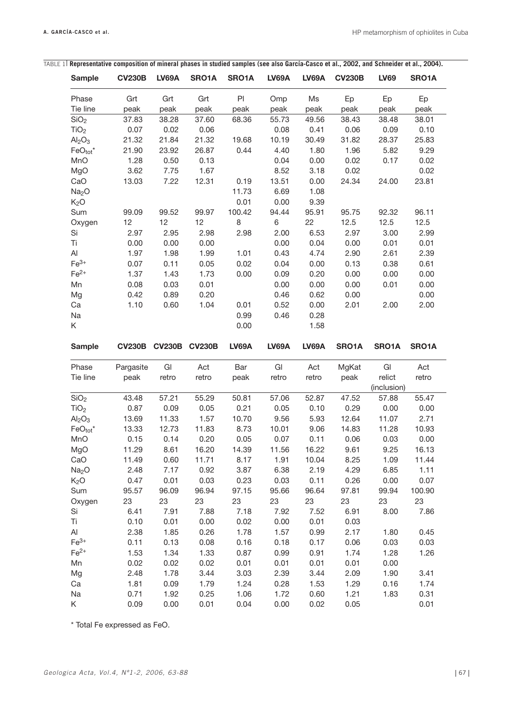$\overline{\phantom{a}}$ 

| <b>Sample</b>                                             | <b>CV230B</b> | <b>LV69A</b>         | SRO1A        | SRO1A        | <b>LV69A</b> | <b>LV69A</b> | <b>CV230B</b> | <b>LV69</b>          | SRO1A                        |
|-----------------------------------------------------------|---------------|----------------------|--------------|--------------|--------------|--------------|---------------|----------------------|------------------------------|
| Phase                                                     | Grt           | Grt                  | Grt          | P            | Omp          | Ms           | Ep            | Ep                   | Ep                           |
| Tie line                                                  | peak          | peak                 | peak         | peak         | peak         | peak         | peak          | peak                 | peak                         |
| SiO <sub>2</sub>                                          | 37.83         | 38.28                | 37.60        | 68.36        | 55.73        | 49.56        | 38.43         | 38.48                | 38.01                        |
| TiO <sub>2</sub>                                          | 0.07          | 0.02                 | 0.06         |              | 0.08         | 0.41         | 0.06          | 0.09                 | 0.10                         |
| Al <sub>2</sub> O <sub>3</sub>                            | 21.32         | 21.84                | 21.32        | 19.68        | 10.19        | 30.49        | 31.82         | 28.37                | 25.83                        |
| $FeO_{tot}$ *                                             | 21.90         | 23.92                | 26.87        | 0.44         | 4.40         | 1.80         | 1.96          | 5.82                 | 9.29                         |
| MnO                                                       | 1.28          | 0.50                 | 0.13         |              | 0.04         | 0.00         | 0.02          | 0.17                 | 0.02                         |
| MgO                                                       | 3.62          | 7.75                 | 1.67         |              | 8.52         | 3.18         | 0.02          |                      | 0.02                         |
| CaO                                                       | 13.03         | 7.22                 | 12.31        | 0.19         | 13.51        | 0.00         | 24.34         | 24.00                | 23.81                        |
| Na <sub>2</sub> O                                         |               |                      |              | 11.73        | 6.69         | 1.08         |               |                      |                              |
| K <sub>2</sub> O                                          |               |                      |              | 0.01         | 0.00         | 9.39         |               |                      |                              |
| Sum                                                       | 99.09         | 99.52                | 99.97        | 100.42       | 94.44        | 95.91        | 95.75         | 92.32                | 96.11                        |
| Oxygen                                                    | 12            | 12                   | 12           | 8            | $\,6$        | 22           | 12.5          | 12.5                 | 12.5                         |
| Si                                                        | 2.97          | 2.95                 | 2.98         | 2.98         | 2.00         | 6.53         | 2.97          | 3.00                 | 2.99                         |
| Ti                                                        | 0.00          | 0.00                 | 0.00         |              | 0.00         | 0.04         | 0.00          | 0.01                 | 0.01                         |
| Al                                                        | 1.97          | 1.98                 | 1.99         | 1.01         | 0.43         | 4.74         | 2.90          | 2.61                 | 2.39                         |
| $Fe3+$                                                    | 0.07          | 0.11                 | 0.05         | 0.02         | 0.04         | 0.00         | 0.13          | 0.38                 | 0.61                         |
| $Fe2+$                                                    | 1.37          | 1.43                 | 1.73         | 0.00         | 0.09         | 0.20         | 0.00          | 0.00                 | 0.00                         |
| Mn                                                        | 0.08          | 0.03                 | 0.01         |              | 0.00         | 0.00         | 0.00          | 0.01                 | 0.00                         |
| Mg                                                        | 0.42          | 0.89                 | 0.20         |              | 0.46         | 0.62         | 0.00          |                      | 0.00                         |
| Ca                                                        | 1.10          | 0.60                 | 1.04         | 0.01         | 0.52         | 0.00         | 2.01          | 2.00                 | 2.00                         |
| Na                                                        |               |                      |              | 0.99         | 0.46         | 0.28         |               |                      |                              |
| K                                                         |               |                      |              | 0.00         |              | 1.58         |               |                      |                              |
|                                                           |               |                      |              |              |              |              |               |                      |                              |
| <b>Sample</b>                                             |               | CV230B CV230B CV230B |              | <b>LV69A</b> | <b>LV69A</b> | <b>LV69A</b> | SRO1A         | SRO1A                | SRO1A                        |
| Phase                                                     | Pargasite     | GI                   | Act          | Bar          | GI           | Act          | MgKat         | GI                   | Act                          |
| Tie line                                                  | peak          | retro                | retro        | peak         | retro        | retro        | peak          | relict               | retro                        |
| SiO <sub>2</sub>                                          | 43.48         | 57.21                | 55.29        | 50.81        | 57.06        | 52.87        | 47.52         | (inclusion)<br>57.88 | 55.47                        |
| TiO <sub>2</sub>                                          | 0.87          | 0.09                 | 0.05         | 0.21         | 0.05         | 0.10         | 0.29          | 0.00                 | 0.00                         |
| Al <sub>2</sub> O <sub>3</sub>                            | 13.69         | 11.33                | 1.57         | 10.70        | 9.56         | 5.93         | 12.64         | 11.07                | 2.71                         |
| $FeO_{tot}^*$                                             | 13.33         | 12.73                | 11.83        | 8.73         | 10.01        | 9.06         | 14.83         | 11.28                | 10.93                        |
| MnO                                                       | 0.15          | 0.14                 | 0.20         | 0.05         | 0.07         | 0.11         | 0.06          | 0.03                 | 0.00                         |
| MgO                                                       | 11.29         | 8.61                 | 16.20        | 14.39        | 11.56        | 16.22        | 9.61          | 9.25                 | 16.13                        |
| CaO                                                       | 11.49         | 0.60                 | 11.71        | 8.17         | 1.91         | 10.04        | 8.25          | 1.09                 | 11.44                        |
| Na <sub>2</sub> O                                         | 2.48          | 7.17                 | 0.92         | 3.87         | 6.38         | 2.19         | 4.29          | 6.85                 | 1.11                         |
| K <sub>2</sub> O                                          | 0.47          | 0.01                 | 0.03         | 0.23         | 0.03         | 0.11         | 0.26          | 0.00                 | 0.07                         |
| Sum                                                       | 95.57         | 96.09                | 96.94        | 97.15        | 95.66        | 96.64        | 97.81         | 99.94                | 100.90                       |
|                                                           | 23            |                      | 23           | 23           | 23           |              | 23            | 23                   | 23                           |
| Oxygen<br>Si                                              | 6.41          | 23<br>7.91           | 7.88         | 7.18         | 7.92         | 23           |               |                      | 7.86                         |
|                                                           |               |                      |              |              | 0.00         | 7.52<br>0.01 | 6.91          | 8.00                 |                              |
|                                                           |               |                      |              |              |              |              | 0.03          |                      |                              |
|                                                           | 0.10          | 0.01                 | 0.00         | 0.02         |              |              |               |                      |                              |
|                                                           | 2.38          | 1.85                 | 0.26         | 1.78         | 1.57         | 0.99         | 2.17          | 1.80                 |                              |
|                                                           | 0.11          | 0.13                 | 0.08         | 0.16         | 0.18         | 0.17         | 0.06          | 0.03                 |                              |
|                                                           | 1.53          | 1.34                 | 1.33         | 0.87         | 0.99         | 0.91         | 1.74          | 1.28                 |                              |
|                                                           | 0.02          | 0.02                 | 0.02         | 0.01         | 0.01         | 0.01         | 0.01          | 0.00                 |                              |
|                                                           | 2.48          | 1.78                 | 3.44         | 3.03         | 2.39         | 3.44         | 2.09          | 1.90                 | 0.45<br>0.03<br>1.26<br>3.41 |
|                                                           | 1.81          | 0.09                 | 1.79         | 1.24         | 0.28         | 1.53         | 1.29          | 0.16                 | 1.74                         |
| Τi<br>Al<br>$Fe3+$<br>$Fe2+$<br>Mn<br>Mg<br>Ca<br>Na<br>K | 0.71<br>0.09  | 1.92<br>0.00         | 0.25<br>0.01 | 1.06<br>0.04 | 1.72<br>0.00 | 0.60<br>0.02 | 1.21<br>0.05  | 1.83                 | 0.31<br>0.01                 |

TABLE 1 **Representative composition of mineral phases in studied samples (see also García-Casco et al., 2002, and Schneider et al., 2004).**

\* Total Fe expressed as FeO.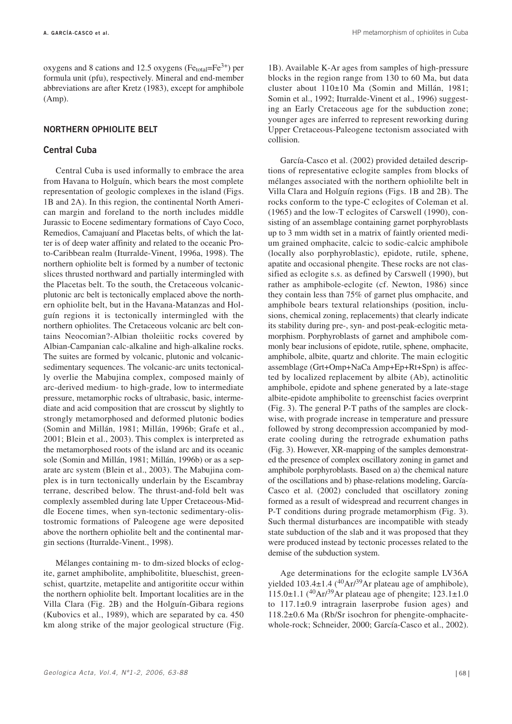oxygens and 8 cations and 12.5 oxygens (Fe<sub>total</sub>=Fe<sup>3+</sup>) per formula unit (pfu), respectively. Mineral and end-member abbreviations are after Kretz (1983), except for amphibole (Amp).

## **NORTHERN OPHIOLITE BELT**

## **Central Cuba**

Central Cuba is used informally to embrace the area from Havana to Holguín, which bears the most complete representation of geologic complexes in the island (Figs. 1B and 2A). In this region, the continental North American margin and foreland to the north includes middle Jurassic to Eocene sedimentary formations of Cayo Coco, Remedios, Camajuaní and Placetas belts, of which the latter is of deep water affinity and related to the oceanic Proto-Caribbean realm (Iturralde-Vinent, 1996a, 1998). The northern ophiolite belt is formed by a number of tectonic slices thrusted northward and partially intermingled with the Placetas belt. To the south, the Cretaceous volcanicplutonic arc belt is tectonically emplaced above the northern ophiolite belt, but in the Havana-Matanzas and Holguín regions it is tectonically intermingled with the northern ophiolites. The Cretaceous volcanic arc belt contains Neocomian?-Albian tholeiitic rocks covered by Albian-Campanian calc-alkaline and high-alkaline rocks. The suites are formed by volcanic, plutonic and volcanicsedimentary sequences. The volcanic-arc units tectonically overlie the Mabujina complex, composed mainly of arc-derived medium- to high-grade, low to intermediate pressure, metamorphic rocks of ultrabasic, basic, intermediate and acid composition that are crosscut by slightly to strongly metamorphosed and deformed plutonic bodies (Somin and Millán, 1981; Millán, 1996b; Grafe et al., 2001; Blein et al., 2003). This complex is interpreted as the metamorphosed roots of the island arc and its oceanic sole (Somin and Millán, 1981; Millán, 1996b) or as a separate arc system (Blein et al., 2003). The Mabujina complex is in turn tectonically underlain by the Escambray terrane, described below. The thrust-and-fold belt was complexly assembled during late Upper Cretaceous-Middle Eocene times, when syn-tectonic sedimentary-olistostromic formations of Paleogene age were deposited above the northern ophiolite belt and the continental margin sections (Iturralde-Vinent., 1998).

Mélanges containing m- to dm-sized blocks of eclogite, garnet amphibolite, amphibolitite, blueschist, greenschist, quartzite, metapelite and antigoritite occur within the northern ophiolite belt. Important localities are in the Villa Clara (Fig. 2B) and the Holguín-Gibara regions (Kubovics et al., 1989), which are separated by ca. 450 km along strike of the major geological structure (Fig.

1B). Available K-Ar ages from samples of high-pressure blocks in the region range from 130 to 60 Ma, but data cluster about 110±10 Ma (Somin and Millán, 1981; Somin et al., 1992; Iturralde-Vinent et al., 1996) suggesting an Early Cretaceous age for the subduction zone; younger ages are inferred to represent reworking during Upper Cretaceous-Paleogene tectonism associated with collision.

García-Casco et al. (2002) provided detailed descriptions of representative eclogite samples from blocks of mélanges associated with the northern ophiolilte belt in Villa Clara and Holguín regions (Figs. 1B and 2B). The rocks conform to the type-C eclogites of Coleman et al. (1965) and the low-T eclogites of Carswell (1990), consisting of an assemblage containing garnet porphyroblasts up to 3 mm width set in a matrix of faintly oriented medium grained omphacite, calcic to sodic-calcic amphibole (locally also porphyroblastic), epidote, rutile, sphene, apatite and occasional phengite. These rocks are not classified as eclogite s.s. as defined by Carswell (1990), but rather as amphibole-eclogite (cf. Newton, 1986) since they contain less than 75% of garnet plus omphacite, and amphibole bears textural relationships (position, inclusions, chemical zoning, replacements) that clearly indicate its stability during pre-, syn- and post-peak-eclogitic metamorphism. Porphyroblasts of garnet and amphibole commonly bear inclusions of epidote, rutile, sphene, omphacite, amphibole, albite, quartz and chlorite. The main eclogitic assemblage (Grt+Omp+NaCa Amp+Ep+Rt+Spn) is affected by localized replacement by albite (Ab), actinolitic amphibole, epidote and sphene generated by a late-stage albite-epidote amphibolite to greenschist facies overprint (Fig. 3). The general P-T paths of the samples are clockwise, with prograde increase in temperature and pressure followed by strong decompression accompanied by moderate cooling during the retrograde exhumation paths (Fig. 3). However, XR-mapping of the samples demonstrated the presence of complex oscillatory zoning in garnet and amphibole porphyroblasts. Based on a) the chemical nature of the oscillations and b) phase-relations modeling, García-Casco et al. (2002) concluded that oscillatory zoning formed as a result of widespread and recurrent changes in P-T conditions during prograde metamorphism (Fig. 3). Such thermal disturbances are incompatible with steady state subduction of the slab and it was proposed that they were produced instead by tectonic processes related to the demise of the subduction system.

Age determinations for the eclogite sample LV36A yielded  $103.4 \pm 1.4$  (<sup>40</sup>Ar/<sup>39</sup>Ar plateau age of amphibole), 115.0 $\pm$ 1.1 (<sup>40</sup>Ar/<sup>39</sup>Ar plateau age of phengite; 123.1 $\pm$ 1.0 to 117.1±0.9 intragrain laserprobe fusion ages) and 118.2±0.6 Ma (Rb/Sr isochron for phengite-omphacitewhole-rock; Schneider, 2000; García-Casco et al., 2002).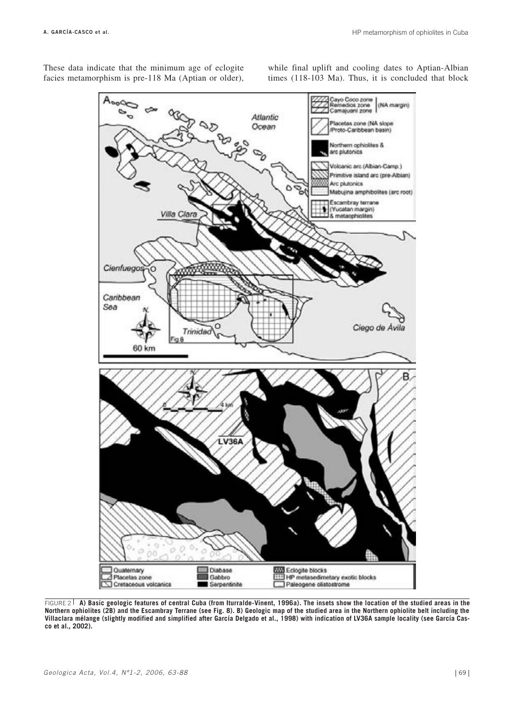These data indicate that the minimum age of eclogite facies metamorphism is pre-118 Ma (Aptian or older), while final uplift and cooling dates to Aptian-Albian times (118-103 Ma). Thus, it is concluded that block



FIGURE 2 **A) Basic geologic features of central Cuba (from Iturralde-Vinent, 1996a). The insets show the location of the studied areas in the Northern ophiolites (2B) and the Escambray Terrane (see Fig. 8). B) Geologic map of the studied area in the Northern ophiolite belt including the Villaclara mélange (slightly modified and simplified after García Delgado et al., 1998) with indication of LV36A sample locality (see García Casco et al., 2002).**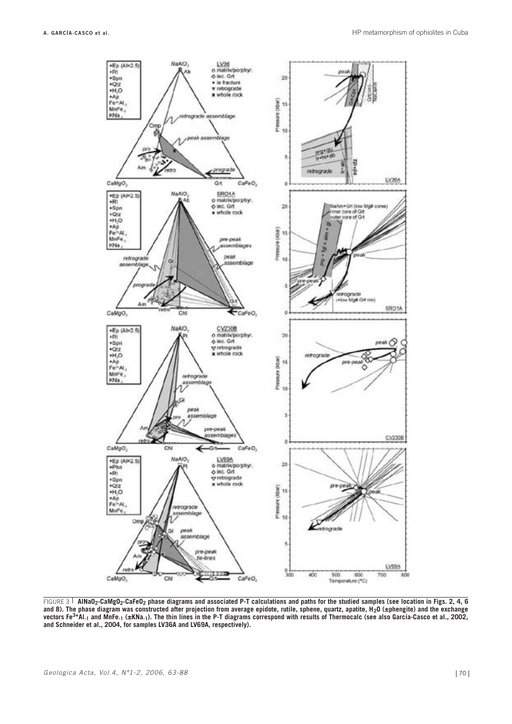

FIGURE 3 **AlNaO2-CaMgO2-CaFeO2 phase diagrams and associated P-T calculations and paths for the studied samples (see location in Figs. 2, 4, 6** and 8). The phase diagram was constructed after projection from average epidote, rutile, sphene, quartz, apatite, H<sub>2</sub>O (±phengite) and the exchange<br>vectors Fe<sup>3+</sup>Al<sub>-1</sub> and MnFe<sub>-1</sub> (±KNa<sub>-1</sub>). The thin lines in the P-T d **and Schneider et al., 2004, for samples LV36A and LV69A, respectively).**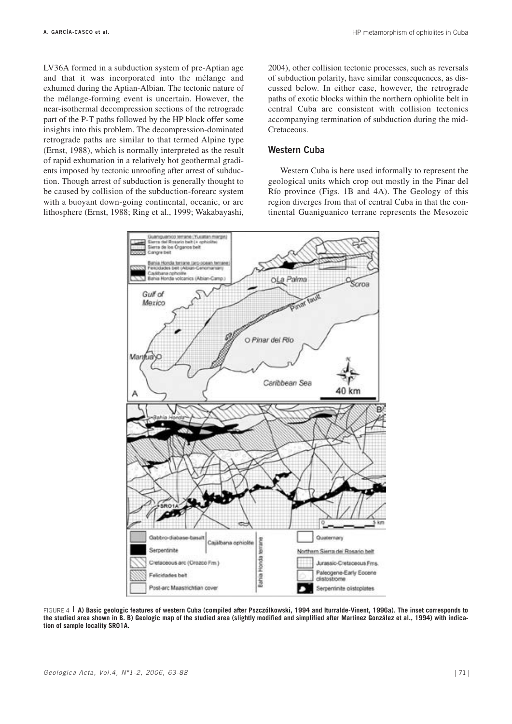LV36A formed in a subduction system of pre-Aptian age and that it was incorporated into the mélange and exhumed during the Aptian-Albian. The tectonic nature of the mélange-forming event is uncertain. However, the near-isothermal decompression sections of the retrograde part of the P-T paths followed by the HP block offer some insights into this problem. The decompression-dominated retrograde paths are similar to that termed Alpine type (Ernst, 1988), which is normally interpreted as the result of rapid exhumation in a relatively hot geothermal gradients imposed by tectonic unroofing after arrest of subduction. Though arrest of subduction is generally thought to be caused by collision of the subduction-forearc system with a buoyant down-going continental, oceanic, or arc lithosphere (Ernst, 1988; Ring et al., 1999; Wakabayashi, 2004), other collision tectonic processes, such as reversals of subduction polarity, have similar consequences, as discussed below. In either case, however, the retrograde paths of exotic blocks within the northern ophiolite belt in central Cuba are consistent with collision tectonics accompanying termination of subduction during the mid-Cretaceous.

## **Western Cuba**

Western Cuba is here used informally to represent the geological units which crop out mostly in the Pinar del Río province (Figs. 1B and 4A). The Geology of this region diverges from that of central Cuba in that the continental Guaniguanico terrane represents the Mesozoic



FIGURE 4 **A) Basic geologic features of western Cuba (compiled after Pszczólkowski, 1994 and Iturralde-Vinent, 1996a). The inset corresponds to the studied area shown in B. B) Geologic map of the studied area (slightly modified and simplified after Martínez González et al., 1994) with indication of sample locality SRO1A.**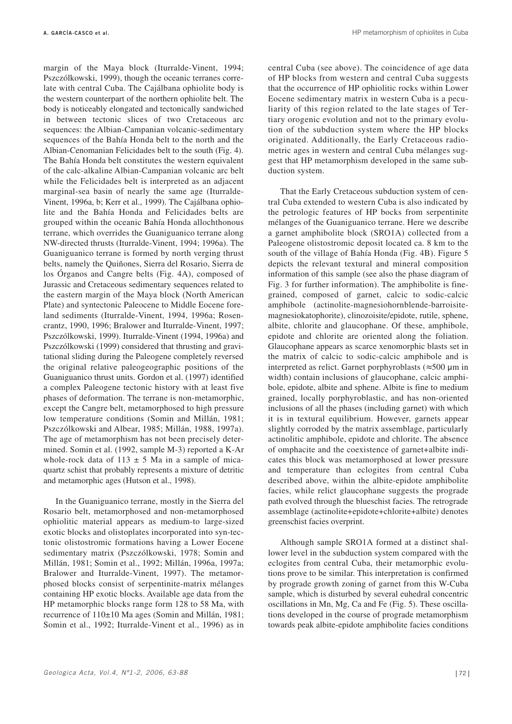**A. GARCÍA-CASCO et al.** HP metamorphism of ophiolites in Cuba

margin of the Maya block (Iturralde-Vinent, 1994; Pszczólkowski, 1999), though the oceanic terranes correlate with central Cuba. The Cajálbana ophiolite body is the western counterpart of the northern ophiolite belt. The body is noticeably elongated and tectonically sandwiched in between tectonic slices of two Cretaceous arc sequences: the Albian-Campanian volcanic-sedimentary sequences of the Bahía Honda belt to the north and the Albian-Cenomanian Felicidades belt to the south (Fig. 4). The Bahía Honda belt constitutes the western equivalent of the calc-alkaline Albian-Campanian volcanic arc belt while the Felicidades belt is interpreted as an adjacent marginal-sea basin of nearly the same age (Iturralde-Vinent, 1996a, b; Kerr et al., 1999). The Cajálbana ophiolite and the Bahía Honda and Felicidades belts are grouped within the oceanic Bahía Honda allochthonous terrane, which overrides the Guaniguanico terrane along NW-directed thrusts (Iturralde-Vinent, 1994; 1996a). The Guaniguanico terrane is formed by north verging thrust belts, namely the Quiñones, Sierra del Rosario, Sierra de los Órganos and Cangre belts (Fig. 4A), composed of Jurassic and Cretaceous sedimentary sequences related to the eastern margin of the Maya block (North American Plate) and syntectonic Paleocene to Middle Eocene foreland sediments (Iturralde-Vinent, 1994, 1996a; Rosencrantz, 1990, 1996; Bralower and Iturralde-Vinent, 1997; Pszczólkowski, 1999). Iturralde-Vinent (1994, 1996a) and Pszczólkowski (1999) considered that thrusting and gravitational sliding during the Paleogene completely reversed the original relative paleogeographic positions of the Guaniguanico thrust units. Gordon et al. (1997) identified a complex Paleogene tectonic history with at least five phases of deformation. The terrane is non-metamorphic, except the Cangre belt, metamorphosed to high pressure low temperature conditions (Somin and Millán, 1981; Pszczólkowski and Albear, 1985; Millán, 1988, 1997a). The age of metamorphism has not been precisely determined. Somin et al. (1992, sample M-3) reported a K-Ar whole-rock data of  $113 \pm 5$  Ma in a sample of micaquartz schist that probably represents a mixture of detritic and metamorphic ages (Hutson et al., 1998).

In the Guaniguanico terrane, mostly in the Sierra del Rosario belt, metamorphosed and non-metamorphosed ophiolitic material appears as medium-to large-sized exotic blocks and olistoplates incorporated into syn-tectonic olistostromic formations having a Lower Eocene sedimentary matrix (Pszczólkowski, 1978; Somin and Millán, 1981; Somin et al., 1992; Millán, 1996a, 1997a; Bralower and Iturralde-Vinent, 1997). The metamorphosed blocks consist of serpentinite-matrix mélanges containing HP exotic blocks. Available age data from the HP metamorphic blocks range form 128 to 58 Ma, with recurrence of 110±10 Ma ages (Somin and Millán, 1981; Somin et al., 1992; Iturralde-Vinent et al., 1996) as in

central Cuba (see above). The coincidence of age data of HP blocks from western and central Cuba suggests that the occurrence of HP ophiolitic rocks within Lower Eocene sedimentary matrix in western Cuba is a peculiarity of this region related to the late stages of Tertiary orogenic evolution and not to the primary evolution of the subduction system where the HP blocks originated. Additionally, the Early Cretaceous radiometric ages in western and central Cuba mélanges suggest that HP metamorphism developed in the same subduction system.

That the Early Cretaceous subduction system of central Cuba extended to western Cuba is also indicated by the petrologic features of HP bocks from serpentinite mélanges of the Guaniguanico terrane. Here we describe a garnet amphibolite block (SRO1A) collected from a Paleogene olistostromic deposit located ca. 8 km to the south of the village of Bahía Honda (Fig. 4B). Figure 5 depicts the relevant textural and mineral composition information of this sample (see also the phase diagram of Fig. 3 for further information). The amphibolite is finegrained, composed of garnet, calcic to sodic-calcic amphibole (actinolite-magnesiohornblende-barroisitemagnesiokatophorite), clinozoisite/epidote, rutile, sphene, albite, chlorite and glaucophane. Of these, amphibole, epidote and chlorite are oriented along the foliation. Glaucophane appears as scarce xenomorphic blasts set in the matrix of calcic to sodic-calcic amphibole and is interpreted as relict. Garnet porphyroblasts (≈500 µm in width) contain inclusions of glaucophane, calcic amphibole, epidote, albite and sphene. Albite is fine to medium grained, locally porphyroblastic, and has non-oriented inclusions of all the phases (including garnet) with which it is in textural equilibrium. However, garnets appear slightly corroded by the matrix assemblage, particularly actinolitic amphibole, epidote and chlorite. The absence of omphacite and the coexistence of garnet+albite indicates this block was metamorphosed at lower pressure and temperature than eclogites from central Cuba described above, within the albite-epidote amphibolite facies, while relict glaucophane suggests the prograde path evolved through the blueschist facies. The retrograde assemblage (actinolite+epidote+chlorite+albite) denotes greenschist facies overprint.

Although sample SRO1A formed at a distinct shallower level in the subduction system compared with the eclogites from central Cuba, their metamorphic evolutions prove to be similar. This interpretation is confirmed by prograde growth zoning of garnet from this W-Cuba sample, which is disturbed by several euhedral concentric oscillations in Mn, Mg, Ca and Fe (Fig. 5). These oscillations developed in the course of prograde metamorphism towards peak albite-epidote amphibolite facies conditions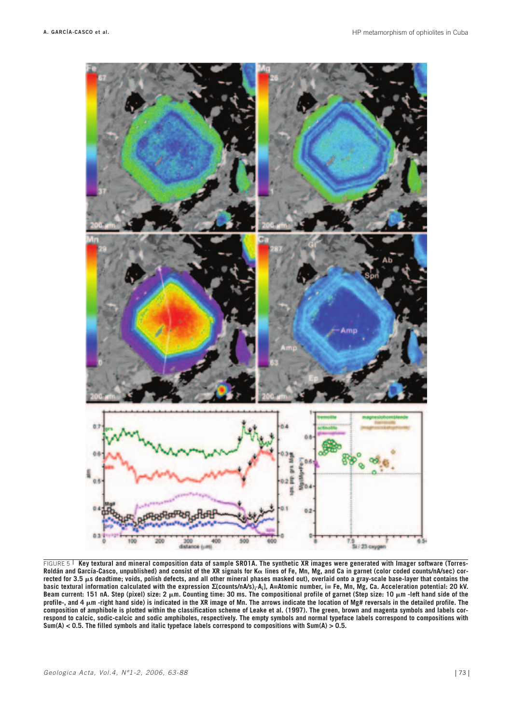

FIGURE 5<sup>1</sup> Key textural and mineral composition data of sample SRO1A. The synthetic XR images were generated with Imager software (Torres-**Roldán and García-Casco, unpublished) and consist of the XR signals for Ka lines of Fe, Mn, Mg, and Ca in garnet (color coded counts/nA/sec) cor**rected for 3.5  $\mu$ s deadtime; voids, polish defects, and all other mineral phases masked out), overlaid onto a gray-scale base-layer that contains the **basic textural information calculated with the expression ∑(counts/nA/s)i·Ai], A=Atomic number, i= Fe, Mn, Mg, Ca. Acceleration potential: 20 kV. Beam current: 151 nA. Step (pixel) size: 2 mm. Counting time: 30 ms. The compositional profile of garnet (Step size: 10 mm -left hand side of the profile-, and 4 mm -right hand side) is indicated in the XR image of Mn. The arrows indicate the location of Mg# reversals in the detailed profile. The composition of amphibole is plotted within the classification scheme of Leake et al. (1997). The green, brown and magenta symbols and labels correspond to calcic, sodic-calcic and sodic amphiboles, respectively. The empty symbols and normal typeface labels correspond to compositions with Sum(A) < 0.5. The filled symbols and italic typeface labels correspond to compositions with Sum(A) > 0.5.**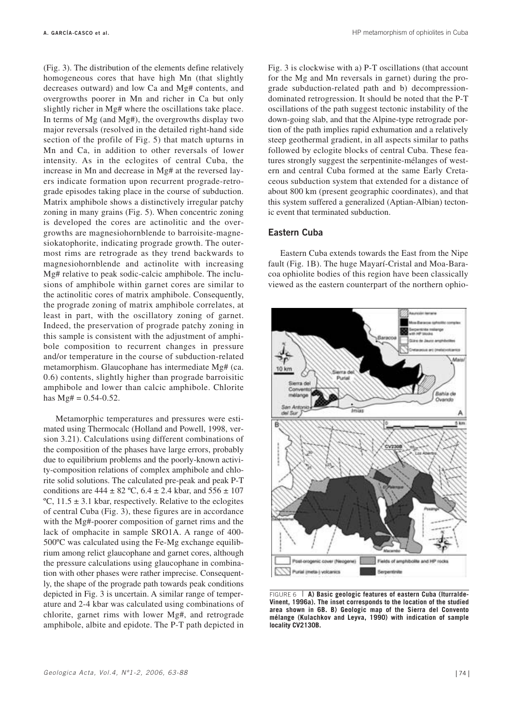(Fig. 3). The distribution of the elements define relatively homogeneous cores that have high Mn (that slightly decreases outward) and low Ca and Mg# contents, and overgrowths poorer in Mn and richer in Ca but only slightly richer in Mg# where the oscillations take place. In terms of Mg (and Mg#), the overgrowths display two major reversals (resolved in the detailed right-hand side section of the profile of Fig. 5) that match upturns in Mn and Ca, in addition to other reversals of lower intensity. As in the eclogites of central Cuba, the increase in Mn and decrease in Mg# at the reversed layers indicate formation upon recurrent prograde-retrograde episodes taking place in the course of subduction. Matrix amphibole shows a distinctively irregular patchy zoning in many grains (Fig. 5). When concentric zoning is developed the cores are actinolitic and the overgrowths are magnesiohornblende to barroisite-magnesiokatophorite, indicating prograde growth. The outermost rims are retrograde as they trend backwards to magnesiohornblende and actinolite with increasing Mg# relative to peak sodic-calcic amphibole. The inclusions of amphibole within garnet cores are similar to the actinolitic cores of matrix amphibole. Consequently, the prograde zoning of matrix amphibole correlates, at least in part, with the oscillatory zoning of garnet. Indeed, the preservation of prograde patchy zoning in this sample is consistent with the adjustment of amphibole composition to recurrent changes in pressure and/or temperature in the course of subduction-related metamorphism. Glaucophane has intermediate Mg# (ca. 0.6) contents, slightly higher than prograde barroisitic amphibole and lower than calcic amphibole. Chlorite has  $Mg# = 0.54 - 0.52$ .

Metamorphic temperatures and pressures were estimated using Thermocalc (Holland and Powell, 1998, version 3.21). Calculations using different combinations of the composition of the phases have large errors, probably due to equilibrium problems and the poorly-known activity-composition relations of complex amphibole and chlorite solid solutions. The calculated pre-peak and peak P-T conditions are  $444 \pm 82$  °C,  $6.4 \pm 2.4$  kbar, and  $556 \pm 107$ °C,  $11.5 \pm 3.1$  kbar, respectively. Relative to the eclogites of central Cuba (Fig. 3), these figures are in accordance with the Mg#-poorer composition of garnet rims and the lack of omphacite in sample SRO1A. A range of 400- 500ºC was calculated using the Fe-Mg exchange equilibrium among relict glaucophane and garnet cores, although the pressure calculations using glaucophane in combination with other phases were rather imprecise. Consequently, the shape of the prograde path towards peak conditions depicted in Fig. 3 is uncertain. A similar range of temperature and 2-4 kbar was calculated using combinations of chlorite, garnet rims with lower Mg#, and retrograde amphibole, albite and epidote. The P-T path depicted in Fig. 3 is clockwise with a) P-T oscillations (that account for the Mg and Mn reversals in garnet) during the prograde subduction-related path and b) decompressiondominated retrogression. It should be noted that the P-T oscillations of the path suggest tectonic instability of the down-going slab, and that the Alpine-type retrograde portion of the path implies rapid exhumation and a relatively steep geothermal gradient, in all aspects similar to paths followed by eclogite blocks of central Cuba. These features strongly suggest the serpentinite-mélanges of western and central Cuba formed at the same Early Cretaceous subduction system that extended for a distance of about 800 km (present geographic coordinates), and that this system suffered a generalized (Aptian-Albian) tectonic event that terminated subduction.

#### **Eastern Cuba**

Eastern Cuba extends towards the East from the Nipe fault (Fig. 1B). The huge Mayarí-Cristal and Moa-Baracoa ophiolite bodies of this region have been classically viewed as the eastern counterpart of the northern ophio-



FIGURE 6 **A) Basic geologic features of eastern Cuba (Iturralde-Vinent, 1996a). The inset corresponds to the location of the studied area shown in 6B. B) Geologic map of the Sierra del Convento mélange (Kulachkov and Leyva, 1990) with indication of sample locality CV2130B.**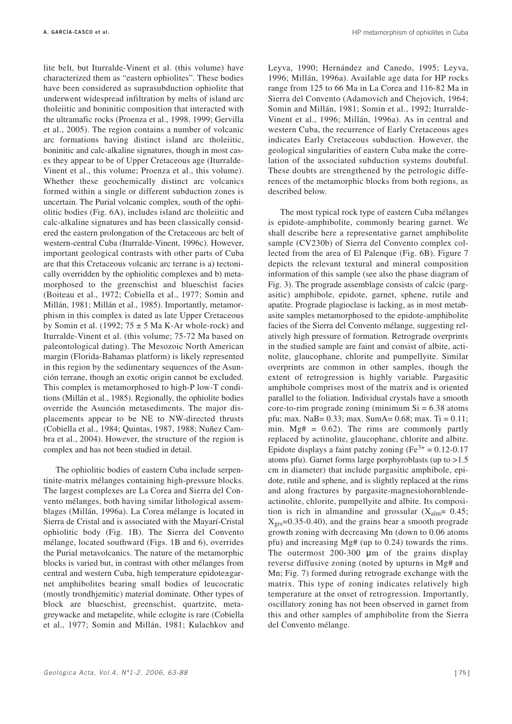**A. GARCÍA-CASCO et al.** HP metamorphism of ophiolites in Cuba

lite belt, but Iturralde-Vinent et al. (this volume) have characterized them as "eastern ophiolites". These bodies have been considered as suprasubduction ophiolite that underwent widespread infiltration by melts of island arc tholeiitic and boninitic composition that interacted with the ultramafic rocks (Proenza et al., 1998, 1999; Gervilla et al., 2005). The region contains a number of volcanic arc formations having distinct island arc tholeiitic, boninitic and calc-alkaline signatures, though in most cases they appear to be of Upper Cretaceous age (Iturralde-Vinent et al., this volume; Proenza et al., this volume). Whether these geochemically distinct arc volcanics formed within a single or different subduction zones is uncertain. The Purial volcanic complex, south of the ophiolitic bodies (Fig. 6A), includes island arc tholeiitic and calc-alkaline signatures and has been classically considered the eastern prolongation of the Cretaceous arc belt of western-central Cuba (Iturralde-Vinent, 1996c). However, important geological contrasts with other parts of Cuba are that this Cretaceous volcanic arc terrane is a) tectonically overridden by the ophiolitic complexes and b) metamorphosed to the greenschist and blueschist facies (Boiteau et al., 1972; Cobiella et al., 1977; Somin and Millán, 1981; Millán et al., 1985). Importantly, metamorphism in this complex is dated as late Upper Cretaceous by Somin et al. (1992;  $75 \pm 5$  Ma K-Ar whole-rock) and Iturralde-Vinent et al. (this volume; 75-72 Ma based on paleontological dating). The Mesozoic North American margin (Florida-Bahamas platform) is likely represented in this region by the sedimentary sequences of the Asunción terrane, though an exotic origin cannot be excluded. This complex is metamorphosed to high-P low-T conditions (Millán et al., 1985). Regionally, the ophiolite bodies override the Asunción metasediments. The major displacements appear to be NE to NW-directed thrusts (Cobiella et al., 1984; Quintas, 1987, 1988; Nuñez Cambra et al., 2004). However, the structure of the region is complex and has not been studied in detail.

The ophiolitic bodies of eastern Cuba include serpentinite-matrix mélanges containing high-pressure blocks. The largest complexes are La Corea and Sierra del Convento mélanges, both having similar lithological assemblages (Millán, 1996a). La Corea mélange is located in Sierra de Cristal and is associated with the Mayarí-Cristal ophiolitic body (Fig. 1B). The Sierra del Convento mélange, located southward (Figs. 1B and 6), overrides the Purial metavolcanics. The nature of the metamorphic blocks is varied but, in contrast with other mélanges from central and western Cuba, high temperature epidote±garnet amphibolites bearing small bodies of leucocratic (mostly trondhjemitic) material dominate. Other types of block are blueschist, greenschist, quartzite, metagreywacke and metapelite, while eclogite is rare (Cobiella et al., 1977; Somin and Millán, 1981; Kulachkov and

Leyva, 1990; Hernández and Canedo, 1995; Leyva, 1996; Millán, 1996a). Available age data for HP rocks range from 125 to 66 Ma in La Corea and 116-82 Ma in Sierra del Convento (Adamovich and Chejovich, 1964; Somin and Millán, 1981; Somin et al., 1992; Iturralde-Vinent et al., 1996; Millán, 1996a). As in central and western Cuba, the recurrence of Early Cretaceous ages indicates Early Cretaceous subduction. However, the geological singularities of eastern Cuba make the correlation of the associated subduction systems doubtful. These doubts are strengthened by the petrologic differences of the metamorphic blocks from both regions, as described below.

The most typical rock type of eastern Cuba mélanges is epidote-amphibolite, commonly bearing garnet. We shall describe here a representative garnet amphibolite sample (CV230b) of Sierra del Convento complex collected from the area of El Palenque (Fig. 6B). Figure 7 depicts the relevant textural and mineral composition information of this sample (see also the phase diagram of Fig. 3). The prograde assemblage consists of calcic (pargasitic) amphibole, epidote, garnet, sphene, rutile and apatite. Prograde plagioclase is lacking, as in most metabasite samples metamorphosed to the epidote-amphibolite facies of the Sierra del Convento mélange, suggesting relatively high pressure of formation. Retrograde overprints in the studied sample are faint and consist of albite, actinolite, glaucophane, chlorite and pumpellyite. Similar overprints are common in other samples, though the extent of retrogression is highly variable. Pargasitic amphibole comprises most of the matrix and is oriented parallel to the foliation. Individual crystals have a smooth core-to-rim prograde zoning (minimum  $Si = 6.38$  atoms pfu; max. NaB=  $0.33$ ; max. SumA=  $0.68$ ; max. Ti =  $0.11$ ; min. Mg# =  $0.62$ ). The rims are commonly partly replaced by actinolite, glaucophane, chlorite and albite. Epidote displays a faint patchy zoning  $(Fe^{3+} = 0.12 - 0.17)$ atoms pfu). Garnet forms large porphyroblasts (up to >1.5 cm in diameter) that include pargasitic amphibole, epidote, rutile and sphene, and is slightly replaced at the rims and along fractures by pargasite-magnesiohornblendeactinolite, chlorite, pumpellyite and albite. Its composition is rich in almandine and grossular  $(X_{\text{alm}}= 0.45;$  $X_{\text{grs}}$ =0.35-0.40), and the grains bear a smooth prograde growth zoning with decreasing Mn (down to 0.06 atoms pfu) and increasing Mg# (up to 0.24) towards the rims. The outermost 200-300 µm of the grains display reverse diffusive zoning (noted by upturns in Mg# and Mn; Fig. 7) formed during retrograde exchange with the matrix. This type of zoning indicates relatively high temperature at the onset of retrogression. Importantly, oscillatory zoning has not been observed in garnet from this and other samples of amphibolite from the Sierra del Convento mélange.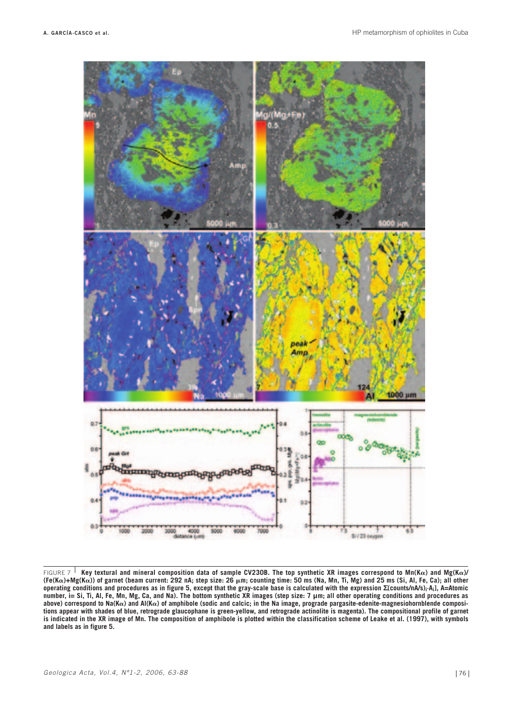

FIGURE 7 **Key textural and mineral composition data of sample CV230B. The top synthetic XR images correspond to Mn(Ka) and Mg(Ka)/ (Fe(Ka)+Mg(Ka)) of garnet (beam current: 292 nA; step size: 26 mm; counting time: 50 ms (Na, Mn, Ti, Mg) and 25 ms (Si, Al, Fe, Ca); all other operating conditions and procedures as in figure 5, except that the gray-scale base is calculated with the expression ∑(counts/nA/s)i·Ai], A=Atomic number, i= Si, Ti, Al, Fe, Mn, Mg, Ca, and Na). The bottom synthetic XR images (step size: 7 µm; all other operating conditions and procedures as above) correspond to Na(Ka) and Al(Ka) of amphibole (sodic and calcic; in the Na image, prograde pargasite-edenite-magnesiohornblende compositions appear with shades of blue, retrograde glaucophane is green-yellow, and retrograde actinolite is magenta). The compositional profile of garnet is indicated in the XR image of Mn. The composition of amphibole is plotted within the classification scheme of Leake et al. (1997), with symbols and labels as in figure 5.**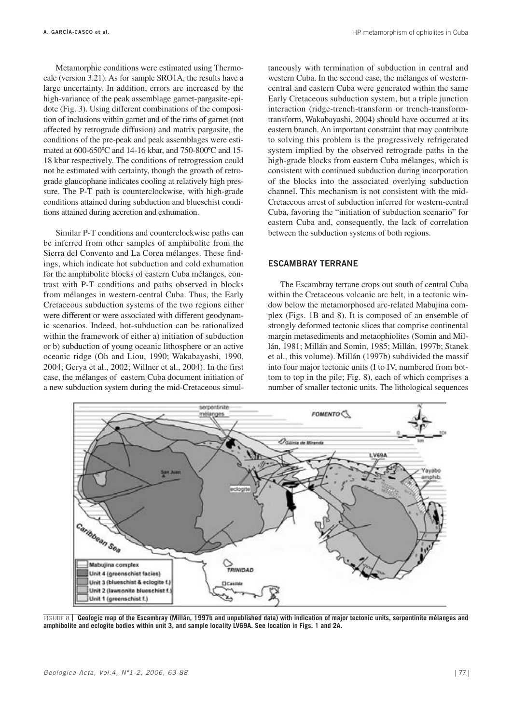Metamorphic conditions were estimated using Thermocalc (version 3.21). As for sample SRO1A, the results have a large uncertainty. In addition, errors are increased by the high-variance of the peak assemblage garnet-pargasite-epidote (Fig. 3). Using different combinations of the composition of inclusions within garnet and of the rims of garnet (not affected by retrograde diffusion) and matrix pargasite, the conditions of the pre-peak and peak assemblages were estimated at 600-650ºC and 14-16 kbar, and 750-800ºC and 15- 18 kbar respectively. The conditions of retrogression could not be estimated with certainty, though the growth of retrograde glaucophane indicates cooling at relatively high pressure. The P-T path is counterclockwise, with high-grade conditions attained during subduction and blueschist conditions attained during accretion and exhumation.

Similar P-T conditions and counterclockwise paths can be inferred from other samples of amphibolite from the Sierra del Convento and La Corea mélanges. These findings, which indicate hot subduction and cold exhumation for the amphibolite blocks of eastern Cuba mélanges, contrast with P-T conditions and paths observed in blocks from mélanges in western-central Cuba. Thus, the Early Cretaceous subduction systems of the two regions either were different or were associated with different geodynamic scenarios. Indeed, hot-subduction can be rationalized within the framework of either a) initiation of subduction or b) subduction of young oceanic lithosphere or an active oceanic ridge (Oh and Liou, 1990; Wakabayashi, 1990, 2004; Gerya et al., 2002; Willner et al., 2004). In the first case, the mélanges of eastern Cuba document initiation of a new subduction system during the mid-Cretaceous simultaneously with termination of subduction in central and western Cuba. In the second case, the mélanges of westerncentral and eastern Cuba were generated within the same Early Cretaceous subduction system, but a triple junction interaction (ridge-trench-transform or trench-transformtransform, Wakabayashi, 2004) should have occurred at its eastern branch. An important constraint that may contribute to solving this problem is the progressively refrigerated system implied by the observed retrograde paths in the high-grade blocks from eastern Cuba mélanges, which is consistent with continued subduction during incorporation of the blocks into the associated overlying subduction channel. This mechanism is not consistent with the mid-Cretaceous arrest of subduction inferred for western-central Cuba, favoring the "initiation of subduction scenario" for eastern Cuba and, consequently, the lack of correlation between the subduction systems of both regions.

## **ESCAMBRAY TERRANE**

The Escambray terrane crops out south of central Cuba within the Cretaceous volcanic arc belt, in a tectonic window below the metamorphosed arc-related Mabujina complex (Figs. 1B and 8). It is composed of an ensemble of strongly deformed tectonic slices that comprise continental margin metasediments and metaophiolites (Somin and Millán, 1981; Millán and Somin, 1985; Millán, 1997b; Stanek et al., this volume). Millán (1997b) subdivided the massif into four major tectonic units (I to IV, numbered from bottom to top in the pile; Fig. 8), each of which comprises a number of smaller tectonic units. The lithological sequences



FIGURE 8 **Geologic map of the Escambray (Millán, 1997b and unpublished data) with indication of major tectonic units, serpentinite mélanges and amphibolite and eclogite bodies within unit 3, and sample locality LV69A. See location in Figs. 1 and 2A.**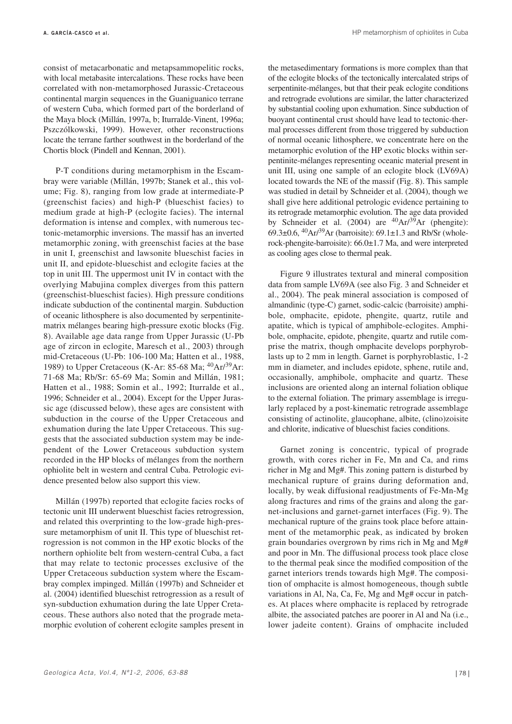consist of metacarbonatic and metapsammopelitic rocks, with local metabasite intercalations. These rocks have been correlated with non-metamorphosed Jurassic-Cretaceous continental margin sequences in the Guaniguanico terrane of western Cuba, which formed part of the borderland of the Maya block (Millán, 1997a, b; Iturralde-Vinent, 1996a; Pszczólkowski, 1999). However, other reconstructions locate the terrane farther southwest in the borderland of the Chortis block (Pindell and Kennan, 2001).

P-T conditions during metamorphism in the Escambray were variable (Millán, 1997b; Stanek et al., this volume; Fig. 8), ranging from low grade at intermediate-P (greenschist facies) and high-P (blueschist facies) to medium grade at high-P (eclogite facies). The internal deformation is intense and complex, with numerous tectonic-metamorphic inversions. The massif has an inverted metamorphic zoning, with greenschist facies at the base in unit I, greenschist and lawsonite blueschist facies in unit II, and epidote-blueschist and eclogite facies at the top in unit III. The uppermost unit IV in contact with the overlying Mabujina complex diverges from this pattern (greenschist-blueschist facies). High pressure conditions indicate subduction of the continental margin. Subduction of oceanic lithosphere is also documented by serpentinitematrix mélanges bearing high-pressure exotic blocks (Fig. 8). Available age data range from Upper Jurassic (U-Pb age of zircon in eclogite, Maresch et al., 2003) through mid-Cretaceous (U-Pb: 106-100 Ma; Hatten et al., 1988, 1989) to Upper Cretaceous (K-Ar: 85-68 Ma;  ${}^{40}Ar/{}^{39}Ar$ : 71-68 Ma; Rb/Sr: 65-69 Ma; Somin and Millán, 1981; Hatten et al., 1988; Somin et al., 1992; Iturralde et al., 1996; Schneider et al., 2004). Except for the Upper Jurassic age (discussed below), these ages are consistent with subduction in the course of the Upper Cretaceous and exhumation during the late Upper Cretaceous. This suggests that the associated subduction system may be independent of the Lower Cretaceous subduction system recorded in the HP blocks of mélanges from the northern ophiolite belt in western and central Cuba. Petrologic evidence presented below also support this view.

Millán (1997b) reported that eclogite facies rocks of tectonic unit III underwent blueschist facies retrogression, and related this overprinting to the low-grade high-pressure metamorphism of unit II. This type of blueschist retrogression is not common in the HP exotic blocks of the northern ophiolite belt from western-central Cuba, a fact that may relate to tectonic processes exclusive of the Upper Cretaceous subduction system where the Escambray complex impinged. Millán (1997b) and Schneider et al. (2004) identified blueschist retrogression as a result of syn-subduction exhumation during the late Upper Cretaceous. These authors also noted that the prograde metamorphic evolution of coherent eclogite samples present in

the metasedimentary formations is more complex than that of the eclogite blocks of the tectonically intercalated strips of serpentinite-mélanges, but that their peak eclogite conditions and retrograde evolutions are similar, the latter characterized by substantial cooling upon exhumation. Since subduction of buoyant continental crust should have lead to tectonic-thermal processes different from those triggered by subduction of normal oceanic lithosphere, we concentrate here on the metamorphic evolution of the HP exotic blocks within serpentinite-mélanges representing oceanic material present in unit III, using one sample of an eclogite block (LV69A) located towards the NE of the massif (Fig. 8). This sample was studied in detail by Schneider et al. (2004), though we shall give here additional petrologic evidence pertaining to its retrograde metamorphic evolution. The age data provided by Schneider et al. (2004) are  $^{40}Ar/^{39}Ar$  (phengite): 69.3 $\pm$ 0.6, <sup>40</sup>Ar/<sup>39</sup>Ar (barroisite): 69.1 $\pm$ 1.3 and Rb/Sr (wholerock-phengite-barroisite): 66.0±1.7 Ma, and were interpreted as cooling ages close to thermal peak.

Figure 9 illustrates textural and mineral composition data from sample LV69A (see also Fig. 3 and Schneider et al., 2004). The peak mineral association is composed of almandinic (type-C) garnet, sodic-calcic (barroisite) amphibole, omphacite, epidote, phengite, quartz, rutile and apatite, which is typical of amphibole-eclogites. Amphibole, omphacite, epidote, phengite, quartz and rutile comprise the matrix, though omphacite develops porphyroblasts up to 2 mm in length. Garnet is porphyroblastic, 1-2 mm in diameter, and includes epidote, sphene, rutile and, occasionally, amphibole, omphacite and quartz. These inclusions are oriented along an internal foliation oblique to the external foliation. The primary assemblage is irregularly replaced by a post-kinematic retrograde assemblage consisting of actinolite, glaucophane, albite, (clino)zoisite and chlorite, indicative of blueschist facies conditions.

Garnet zoning is concentric, typical of prograde growth, with cores richer in Fe, Mn and Ca, and rims richer in Mg and Mg#. This zoning pattern is disturbed by mechanical rupture of grains during deformation and, locally, by weak diffusional readjustments of Fe-Mn-Mg along fractures and rims of the grains and along the garnet-inclusions and garnet-garnet interfaces (Fig. 9). The mechanical rupture of the grains took place before attainment of the metamorphic peak, as indicated by broken grain boundaries overgrown by rims rich in Mg and Mg# and poor in Mn. The diffusional process took place close to the thermal peak since the modified composition of the garnet interiors trends towards high Mg#. The composition of omphacite is almost homogeneous, though subtle variations in Al, Na, Ca, Fe, Mg and Mg# occur in patches. At places where omphacite is replaced by retrograde albite, the associated patches are poorer in Al and Na (i.e., lower jadeite content). Grains of omphacite included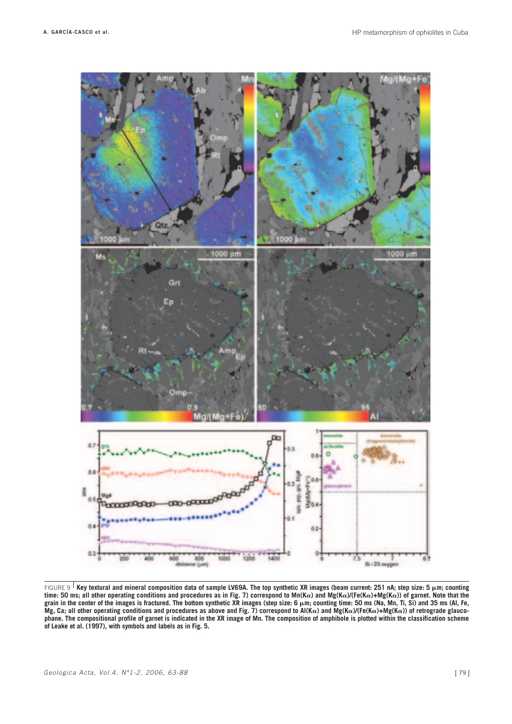

FIGURE 9 **Key textural and mineral composition data of sample LV69A. The top synthetic XR images (beam current: 251 nA; step size: 5 mm; counting time: 50 ms; all other operating conditions and procedures as in Fig. 7) correspond to Mn(Ka) and Mg(Ka)/(Fe(Ka)+Mg(Ka)) of garnet. Note that the** grain in the center of the images is fractured. The bottom synthetic XR images (step size: 6  $\mu$ m; counting time: 50 ms (Na, Mn, Ti, Si) and 35 ms (Al, Fe,  $Mg$ , Ca; all other operating conditions and procedures as above and Fig. 7) correspond to  $A((K\alpha)$  and  $Mg(K\alpha)/(Fe(K\alpha))$  of retrograde glauco**phane. The compositional profile of garnet is indicated in the XR image of Mn. The composition of amphibole is plotted within the classification scheme of Leake et al. (1997), with symbols and labels as in Fig. 5.**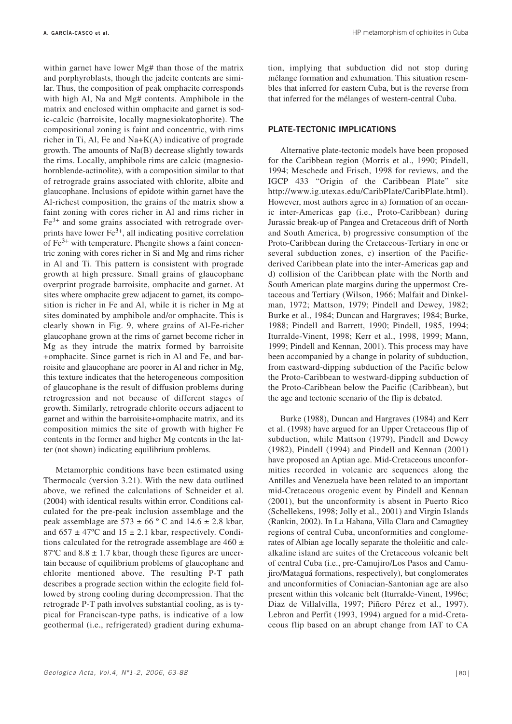within garnet have lower Mg# than those of the matrix and porphyroblasts, though the jadeite contents are similar. Thus, the composition of peak omphacite corresponds with high Al, Na and Mg# contents. Amphibole in the matrix and enclosed within omphacite and garnet is sodic-calcic (barroisite, locally magnesiokatophorite). The compositional zoning is faint and concentric, with rims richer in Ti, Al, Fe and Na+K(A) indicative of prograde growth. The amounts of Na(B) decrease slightly towards the rims. Locally, amphibole rims are calcic (magnesiohornblende-actinolite), with a composition similar to that of retrograde grains associated with chlorite, albite and glaucophane. Inclusions of epidote within garnet have the Al-richest composition, the grains of the matrix show a faint zoning with cores richer in Al and rims richer in  $Fe<sup>3+</sup>$  and some grains associated with retrograde overprints have lower  $Fe<sup>3+</sup>$ , all indicating positive correlation of  $Fe<sup>3+</sup>$  with temperature. Phengite shows a faint concentric zoning with cores richer in Si and Mg and rims richer in Al and Ti. This pattern is consistent with prograde growth at high pressure. Small grains of glaucophane overprint prograde barroisite, omphacite and garnet. At sites where omphacite grew adjacent to garnet, its composition is richer in Fe and Al, while it is richer in Mg at sites dominated by amphibole and/or omphacite. This is clearly shown in Fig. 9, where grains of Al-Fe-richer glaucophane grown at the rims of garnet become richer in Mg as they intrude the matrix formed by barroisite +omphacite. Since garnet is rich in Al and Fe, and barroisite and glaucophane are poorer in Al and richer in Mg, this texture indicates that the heterogeneous composition of glaucophane is the result of diffusion problems during retrogression and not because of different stages of growth. Similarly, retrograde chlorite occurs adjacent to garnet and within the barroisite+omphacite matrix, and its composition mimics the site of growth with higher Fe contents in the former and higher Mg contents in the latter (not shown) indicating equilibrium problems.

Metamorphic conditions have been estimated using Thermocalc (version 3.21). With the new data outlined above, we refined the calculations of Schneider et al. (2004) with identical results within error. Conditions calculated for the pre-peak inclusion assemblage and the peak assemblage are  $573 \pm 66$  ° C and  $14.6 \pm 2.8$  kbar, and  $657 \pm 47^{\circ}$ C and  $15 \pm 2.1$  kbar, respectively. Conditions calculated for the retrograde assemblage are  $460 \pm$ 87 $^{\circ}$ C and 8.8  $\pm$  1.7 kbar, though these figures are uncertain because of equilibrium problems of glaucophane and chlorite mentioned above. The resulting P-T path describes a prograde section within the eclogite field followed by strong cooling during decompression. That the retrograde P-T path involves substantial cooling, as is typical for Franciscan-type paths, is indicative of a low geothermal (i.e., refrigerated) gradient during exhumation, implying that subduction did not stop during mélange formation and exhumation. This situation resembles that inferred for eastern Cuba, but is the reverse from that inferred for the mélanges of western-central Cuba.

## **PLATE-TECTONIC IMPLICATIONS**

Alternative plate-tectonic models have been proposed for the Caribbean region (Morris et al., 1990; Pindell, 1994; Meschede and Frisch, 1998 for reviews, and the IGCP 433 "Origin of the Caribbean Plate" site http://www.ig.utexas.edu/CaribPlate/CaribPlate.html). However, most authors agree in a) formation of an oceanic inter-Americas gap (i.e., Proto-Caribbean) during Jurassic break-up of Pangea and Cretaceous drift of North and South America, b) progressive consumption of the Proto-Caribbean during the Cretaceous-Tertiary in one or several subduction zones, c) insertion of the Pacificderived Caribbean plate into the inter-Americas gap and d) collision of the Caribbean plate with the North and South American plate margins during the uppermost Cretaceous and Tertiary (Wilson, 1966; Malfait and Dinkelman, 1972; Mattson, 1979; Pindell and Dewey, 1982; Burke et al., 1984; Duncan and Hargraves; 1984; Burke, 1988; Pindell and Barrett, 1990; Pindell, 1985, 1994; Iturralde-Vinent, 1998; Kerr et al., 1998, 1999; Mann, 1999; Pindell and Kennan, 2001). This process may have been accompanied by a change in polarity of subduction, from eastward-dipping subduction of the Pacific below the Proto-Caribbean to westward-dipping subduction of the Proto-Caribbean below the Pacific (Caribbean), but the age and tectonic scenario of the flip is debated.

Burke (1988), Duncan and Hargraves (1984) and Kerr et al. (1998) have argued for an Upper Cretaceous flip of subduction, while Mattson (1979), Pindell and Dewey (1982), Pindell (1994) and Pindell and Kennan (2001) have proposed an Aptian age. Mid-Cretaceous unconformities recorded in volcanic arc sequences along the Antilles and Venezuela have been related to an important mid-Cretaceous orogenic event by Pindell and Kennan (2001), but the unconformity is absent in Puerto Rico (Schellekens, 1998; Jolly et al., 2001) and Virgin Islands (Rankin, 2002). In La Habana, Villa Clara and Camagüey regions of central Cuba, unconformities and conglomerates of Albian age locally separate the tholeiitic and calcalkaline island arc suites of the Cretaceous volcanic belt of central Cuba (i.e., pre-Camujiro/Los Pasos and Camujiro/Mataguá formations, respectively), but conglomerates and unconformities of Coniacian-Santonian age are also present within this volcanic belt (Iturralde-Vinent, 1996c; Diaz de Villalvilla, 1997; Piñero Pérez et al., 1997). Lebron and Perfit (1993, 1994) argued for a mid-Cretaceous flip based on an abrupt change from IAT to CA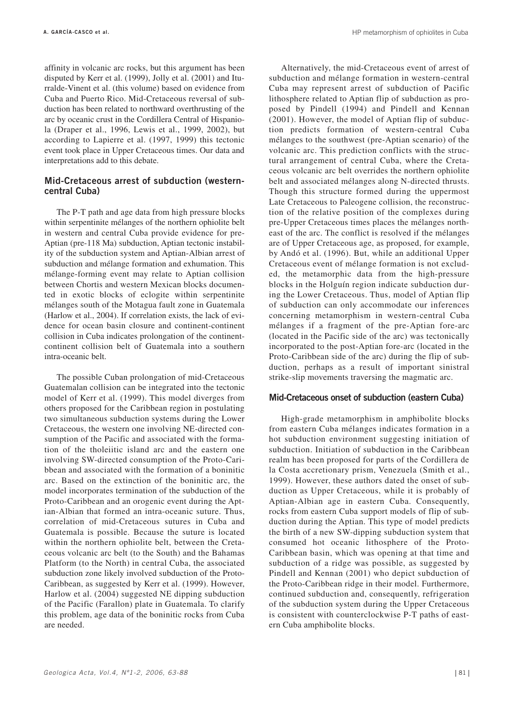affinity in volcanic arc rocks, but this argument has been disputed by Kerr et al. (1999), Jolly et al. (2001) and Iturralde-Vinent et al. (this volume) based on evidence from Cuba and Puerto Rico. Mid-Cretaceous reversal of subduction has been related to northward overthrusting of the arc by oceanic crust in the Cordillera Central of Hispaniola (Draper et al., 1996, Lewis et al., 1999, 2002), but according to Lapierre et al. (1997, 1999) this tectonic event took place in Upper Cretaceous times. Our data and interpretations add to this debate.

## **Mid-Cretaceous arrest of subduction (westerncentral Cuba)**

The P-T path and age data from high pressure blocks within serpentinite mélanges of the northern ophiolite belt in western and central Cuba provide evidence for pre-Aptian (pre-118 Ma) subduction, Aptian tectonic instability of the subduction system and Aptian-Albian arrest of subduction and mélange formation and exhumation. This mélange-forming event may relate to Aptian collision between Chortis and western Mexican blocks documented in exotic blocks of eclogite within serpentinite mélanges south of the Motagua fault zone in Guatemala (Harlow et al., 2004). If correlation exists, the lack of evidence for ocean basin closure and continent-continent collision in Cuba indicates prolongation of the continentcontinent collision belt of Guatemala into a southern intra-oceanic belt.

The possible Cuban prolongation of mid-Cretaceous Guatemalan collision can be integrated into the tectonic model of Kerr et al. (1999). This model diverges from others proposed for the Caribbean region in postulating two simultaneous subduction systems during the Lower Cretaceous, the western one involving NE-directed consumption of the Pacific and associated with the formation of the tholeiitic island arc and the eastern one involving SW-directed consumption of the Proto-Caribbean and associated with the formation of a boninitic arc. Based on the extinction of the boninitic arc, the model incorporates termination of the subduction of the Proto-Caribbean and an orogenic event during the Aptian-Albian that formed an intra-oceanic suture. Thus, correlation of mid-Cretaceous sutures in Cuba and Guatemala is possible. Because the suture is located within the northern ophiolite belt, between the Cretaceous volcanic arc belt (to the South) and the Bahamas Platform (to the North) in central Cuba, the associated subduction zone likely involved subduction of the Proto-Caribbean, as suggested by Kerr et al. (1999). However, Harlow et al. (2004) suggested NE dipping subduction of the Pacific (Farallon) plate in Guatemala. To clarify this problem, age data of the boninitic rocks from Cuba are needed.

Alternatively, the mid-Cretaceous event of arrest of subduction and mélange formation in western-central Cuba may represent arrest of subduction of Pacific lithosphere related to Aptian flip of subduction as proposed by Pindell (1994) and Pindell and Kennan (2001). However, the model of Aptian flip of subduction predicts formation of western-central Cuba mélanges to the southwest (pre-Aptian scenario) of the volcanic arc. This prediction conflicts with the structural arrangement of central Cuba, where the Cretaceous volcanic arc belt overrides the northern ophiolite belt and associated mélanges along N-directed thrusts. Though this structure formed during the uppermost Late Cretaceous to Paleogene collision, the reconstruction of the relative position of the complexes during pre-Upper Cretaceous times places the mélanges northeast of the arc. The conflict is resolved if the mélanges are of Upper Cretaceous age, as proposed, for example, by Andó et al. (1996). But, while an additional Upper Cretaceous event of mélange formation is not excluded, the metamorphic data from the high-pressure blocks in the Holguín region indicate subduction during the Lower Cretaceous. Thus, model of Aptian flip of subduction can only accommodate our inferences concerning metamorphism in western-central Cuba mélanges if a fragment of the pre-Aptian fore-arc (located in the Pacific side of the arc) was tectonically incorporated to the post-Aptian fore-arc (located in the Proto-Caribbean side of the arc) during the flip of subduction, perhaps as a result of important sinistral strike-slip movements traversing the magmatic arc.

# **Mid-Cretaceous onset of subduction (eastern Cuba)**

High-grade metamorphism in amphibolite blocks from eastern Cuba mélanges indicates formation in a hot subduction environment suggesting initiation of subduction. Initiation of subduction in the Caribbean realm has been proposed for parts of the Cordillera de la Costa accretionary prism, Venezuela (Smith et al., 1999). However, these authors dated the onset of subduction as Upper Cretaceous, while it is probably of Aptian-Albian age in eastern Cuba. Consequently, rocks from eastern Cuba support models of flip of subduction during the Aptian. This type of model predicts the birth of a new SW-dipping subduction system that consumed hot oceanic lithosphere of the Proto-Caribbean basin, which was opening at that time and subduction of a ridge was possible, as suggested by Pindell and Kennan (2001) who depict subduction of the Proto-Caribbean ridge in their model. Furthermore, continued subduction and, consequently, refrigeration of the subduction system during the Upper Cretaceous is consistent with counterclockwise P-T paths of eastern Cuba amphibolite blocks.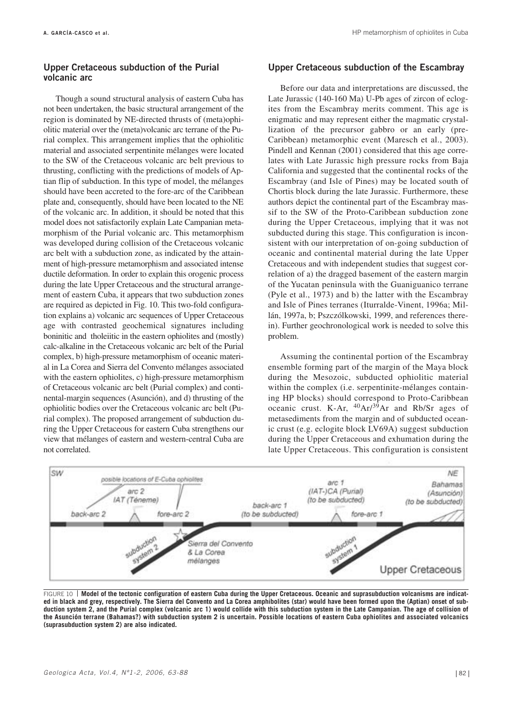## **Upper Cretaceous subduction of the Purial volcanic arc**

Though a sound structural analysis of eastern Cuba has not been undertaken, the basic structural arrangement of the region is dominated by NE-directed thrusts of (meta)ophiolitic material over the (meta)volcanic arc terrane of the Purial complex. This arrangement implies that the ophiolitic material and associated serpentinite mélanges were located to the SW of the Cretaceous volcanic arc belt previous to thrusting, conflicting with the predictions of models of Aptian flip of subduction. In this type of model, the mélanges should have been accreted to the fore-arc of the Caribbean plate and, consequently, should have been located to the NE of the volcanic arc. In addition, it should be noted that this model does not satisfactorily explain Late Campanian metamorphism of the Purial volcanic arc. This metamorphism was developed during collision of the Cretaceous volcanic arc belt with a subduction zone, as indicated by the attainment of high-pressure metamorphism and associated intense ductile deformation. In order to explain this orogenic process during the late Upper Cretaceous and the structural arrangement of eastern Cuba, it appears that two subduction zones are required as depicted in Fig. 10. This two-fold configuration explains a) volcanic arc sequences of Upper Cretaceous age with contrasted geochemical signatures including boninitic and tholeiitic in the eastern ophiolites and (mostly) calc-alkaline in the Cretaceous volcanic arc belt of the Purial complex, b) high-pressure metamorphism of oceanic material in La Corea and Sierra del Convento mélanges associated with the eastern ophiolites, c) high-pressure metamorphism of Cretaceous volcanic arc belt (Purial complex) and continental-margin sequences (Asunción), and d) thrusting of the ophiolitic bodies over the Cretaceous volcanic arc belt (Purial complex). The proposed arrangement of subduction during the Upper Cretaceous for eastern Cuba strengthens our view that mélanges of eastern and western-central Cuba are not correlated.

#### **Upper Cretaceous subduction of the Escambray**

Before our data and interpretations are discussed, the Late Jurassic (140-160 Ma) U-Pb ages of zircon of eclogites from the Escambray merits comment. This age is enigmatic and may represent either the magmatic crystallization of the precursor gabbro or an early (pre-Caribbean) metamorphic event (Maresch et al., 2003). Pindell and Kennan (2001) considered that this age correlates with Late Jurassic high pressure rocks from Baja California and suggested that the continental rocks of the Escambray (and Isle of Pines) may be located south of Chortis block during the late Jurassic. Furthermore, these authors depict the continental part of the Escambray massif to the SW of the Proto-Caribbean subduction zone during the Upper Cretaceous, implying that it was not subducted during this stage. This configuration is inconsistent with our interpretation of on-going subduction of oceanic and continental material during the late Upper Cretaceous and with independent studies that suggest correlation of a) the dragged basement of the eastern margin of the Yucatan peninsula with the Guaniguanico terrane (Pyle et al., 1973) and b) the latter with the Escambray and Isle of Pines terranes (Iturralde-Vinent, 1996a; Millán, 1997a, b; Pszczólkowski, 1999, and references therein). Further geochronological work is needed to solve this problem.

Assuming the continental portion of the Escambray ensemble forming part of the margin of the Maya block during the Mesozoic, subducted ophiolitic material within the complex (i.e. serpentinite-mélanges containing HP blocks) should correspond to Proto-Caribbean oceanic crust. K-Ar,  $^{40}Ar^{39}Ar$  and Rb/Sr ages of metasediments from the margin and of subducted oceanic crust (e.g. eclogite block LV69A) suggest subduction during the Upper Cretaceous and exhumation during the late Upper Cretaceous. This configuration is consistent



FIGURE 10 **Model of the tectonic configuration of eastern Cuba during the Upper Cretaceous. Oceanic and suprasubduction volcanisms are indicated in black and grey, respectively. The Sierra del Convento and La Corea amphibolites (star) would have been formed upon the (Aptian) onset of subduction system 2, and the Purial complex (volcanic arc 1) would collide with this subduction system in the Late Campanian. The age of collision of the Asunción terrane (Bahamas?) with subduction system 2 is uncertain. Possible locations of eastern Cuba ophiolites and associated volcanics (suprasubduction system 2) are also indicated.**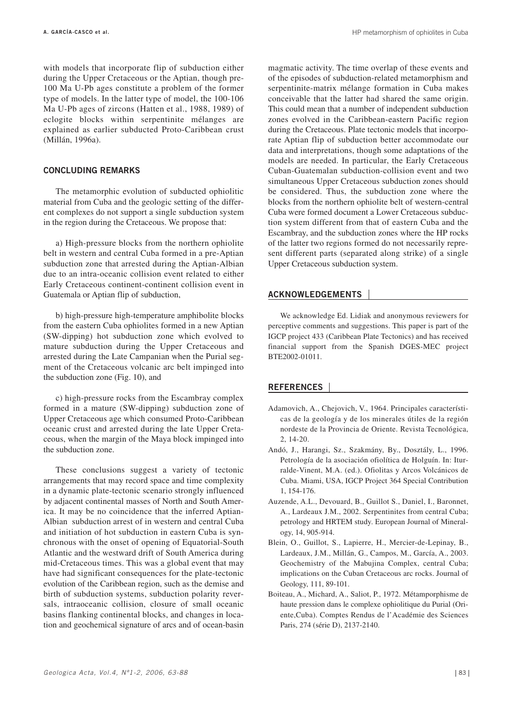with models that incorporate flip of subduction either during the Upper Cretaceous or the Aptian, though pre-100 Ma U-Pb ages constitute a problem of the former type of models. In the latter type of model, the 100-106 Ma U-Pb ages of zircons (Hatten et al., 1988, 1989) of eclogite blocks within serpentinite mélanges are explained as earlier subducted Proto-Caribbean crust (Millán, 1996a).

#### **CONCLUDING REMARKS**

The metamorphic evolution of subducted ophiolitic material from Cuba and the geologic setting of the different complexes do not support a single subduction system in the region during the Cretaceous. We propose that:

a) High-pressure blocks from the northern ophiolite belt in western and central Cuba formed in a pre-Aptian subduction zone that arrested during the Aptian-Albian due to an intra-oceanic collision event related to either Early Cretaceous continent-continent collision event in Guatemala or Aptian flip of subduction,

b) high-pressure high-temperature amphibolite blocks from the eastern Cuba ophiolites formed in a new Aptian (SW-dipping) hot subduction zone which evolved to mature subduction during the Upper Cretaceous and arrested during the Late Campanian when the Purial segment of the Cretaceous volcanic arc belt impinged into the subduction zone (Fig. 10), and

c) high-pressure rocks from the Escambray complex formed in a mature (SW-dipping) subduction zone of Upper Cretaceous age which consumed Proto-Caribbean oceanic crust and arrested during the late Upper Cretaceous, when the margin of the Maya block impinged into the subduction zone.

These conclusions suggest a variety of tectonic arrangements that may record space and time complexity in a dynamic plate-tectonic scenario strongly influenced by adjacent continental masses of North and South America. It may be no coincidence that the inferred Aptian-Albian subduction arrest of in western and central Cuba and initiation of hot subduction in eastern Cuba is synchronous with the onset of opening of Equatorial-South Atlantic and the westward drift of South America during mid-Cretaceous times. This was a global event that may have had significant consequences for the plate-tectonic evolution of the Caribbean region, such as the demise and birth of subduction systems, subduction polarity reversals, intraoceanic collision, closure of small oceanic basins flanking continental blocks, and changes in location and geochemical signature of arcs and of ocean-basin

magmatic activity. The time overlap of these events and of the episodes of subduction-related metamorphism and serpentinite-matrix mélange formation in Cuba makes conceivable that the latter had shared the same origin. This could mean that a number of independent subduction zones evolved in the Caribbean-eastern Pacific region during the Cretaceous. Plate tectonic models that incorporate Aptian flip of subduction better accommodate our data and interpretations, though some adaptations of the models are needed. In particular, the Early Cretaceous Cuban-Guatemalan subduction-collision event and two simultaneous Upper Cretaceous subduction zones should be considered. Thus, the subduction zone where the blocks from the northern ophiolite belt of western-central Cuba were formed document a Lower Cretaceous subduction system different from that of eastern Cuba and the Escambray, and the subduction zones where the HP rocks of the latter two regions formed do not necessarily represent different parts (separated along strike) of a single Upper Cretaceous subduction system.

## **ACKNOWLEDGEMENTS**

We acknowledge Ed. Lidiak and anonymous reviewers for perceptive comments and suggestions. This paper is part of the IGCP project 433 (Caribbean Plate Tectonics) and has received financial support from the Spanish DGES-MEC project BTE2002-01011.

#### **REFERENCES**

- Adamovich, A., Chejovich, V., 1964. Principales características de la geología y de los minerales útiles de la región nordeste de la Provincia de Oriente. Revista Tecnológica, 2, 14-20.
- Andó, J., Harangi, Sz., Szakmány, By., Dosztály, L., 1996. Petrología de la asociación ofiolítica de Holguín. In: Iturralde-Vinent, M.A. (ed.). Ofiolitas y Arcos Volcánicos de Cuba. Miami, USA, IGCP Project 364 Special Contribution 1, 154-176.
- Auzende, A.L., Devouard, B., Guillot S., Daniel, I., Baronnet, A., Lardeaux J.M., 2002. Serpentinites from central Cuba; petrology and HRTEM study. European Journal of Mineralogy, 14, 905-914.
- Blein, O., Guillot, S., Lapierre, H., Mercier-de-Lepinay, B., Lardeaux, J.M., Millán, G., Campos, M., García, A., 2003. Geochemistry of the Mabujina Complex, central Cuba; implications on the Cuban Cretaceous arc rocks. Journal of Geology, 111, 89-101.
- Boiteau, A., Michard, A., Saliot, P., 1972. Métamporphisme de haute pression dans le complexe ophiolitique du Purial (Oriente,Cuba). Comptes Rendus de l'Académie des Sciences Paris, 274 (série D), 2137-2140.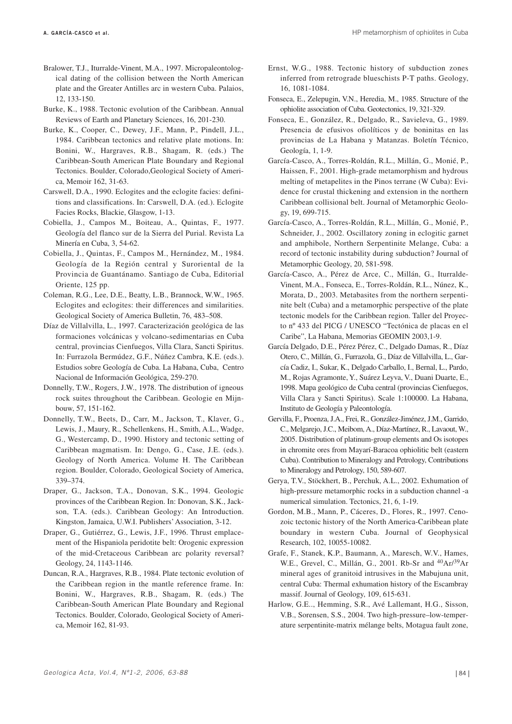- Bralower, T.J., Iturralde-Vinent, M.A., 1997. Micropaleontological dating of the collision between the North American plate and the Greater Antilles arc in western Cuba. Palaios, 12, 133-150.
- Burke, K., 1988. Tectonic evolution of the Caribbean. Annual Reviews of Earth and Planetary Sciences, 16, 201-230.
- Burke, K., Cooper, C., Dewey, J.F., Mann, P., Pindell, J.L., 1984. Caribbean tectonics and relative plate motions. In: Bonini, W., Hargraves, R.B., Shagam, R. (eds.) The Caribbean-South American Plate Boundary and Regional Tectonics. Boulder, Colorado,Geological Society of America, Memoir 162, 31-63.
- Carswell, D.A., 1990. Eclogites and the eclogite facies: definitions and classifications. In: Carswell, D.A. (ed.). Eclogite Facies Rocks, Blackie, Glasgow, 1-13.
- Cobiella, J., Campos M., Boiteau, A., Quintas, F., 1977. Geología del flanco sur de la Sierra del Purial. Revista La Minería en Cuba, 3, 54-62.
- Cobiella, J., Quintas, F., Campos M., Hernández, M., 1984. Geología de la Región central y Suroriental de la Provincia de Guantánamo. Santiago de Cuba, Editorial Oriente, 125 pp.
- Coleman, R.G., Lee, D.E., Beatty, L.B., Brannock, W.W., 1965. Eclogites and eclogites: their differences and similarities. Geological Society of America Bulletin, 76, 483–508.
- Díaz de Villalvilla, L., 1997. Caracterización geológica de las formaciones volcánicas y volcano-sedimentarias en Cuba central, provincias Cienfuegos, Villa Clara, Sancti Spiritus. In: Furrazola Bermúdez, G.F., Núñez Cambra, K.E. (eds.). Estudios sobre Geología de Cuba. La Habana, Cuba, Centro Nacional de Información Geológica, 259-270.
- Donnelly, T.W., Rogers, J.W., 1978. The distribution of igneous rock suites throughout the Caribbean. Geologie en Mijnbouw, 57, 151-162.
- Donnelly, T.W., Beets, D., Carr, M., Jackson, T., Klaver, G., Lewis, J., Maury, R., Schellenkens, H., Smith, A.L., Wadge, G., Westercamp, D., 1990. History and tectonic setting of Caribbean magmatism. In: Dengo, G., Case, J.E. (eds.). Geology of North America. Volume H. The Caribbean region. Boulder, Colorado, Geological Society of America, 339–374.
- Draper, G., Jackson, T.A., Donovan, S.K., 1994. Geologic provinces of the Caribbean Region. In: Donovan, S.K., Jackson, T.A. (eds.). Caribbean Geology: An Introduction. Kingston, Jamaica, U.W.I. Publishers'Association, 3-12.
- Draper, G., Gutiérrez, G., Lewis, J.F., 1996. Thrust emplacement of the Hispaniola peridotite belt: Orogenic expression of the mid-Cretaceous Caribbean arc polarity reversal? Geology, 24, 1143-1146.
- Duncan, R.A., Hargraves, R.B., 1984. Plate tectonic evolution of the Caribbean region in the mantle reference frame. In: Bonini, W., Hargraves, R.B., Shagam, R. (eds.) The Caribbean-South American Plate Boundary and Regional Tectonics. Boulder, Colorado, Geological Society of America, Memoir 162, 81-93.
- Ernst, W.G., 1988. Tectonic history of subduction zones inferred from retrograde blueschists P-T paths. Geology, 16, 1081-1084.
- Fonseca, E., Zelepugin, V.N., Heredia, M., 1985. Structure of the ophiolite association of Cuba. Geotectonics, 19, 321-329.
- Fonseca, E., González, R., Delgado, R., Savieleva, G., 1989. Presencia de efusivos ofiolíticos y de boninitas en las provincias de La Habana y Matanzas. Boletín Técnico, Geología, 1, 1-9.
- García-Casco, A., Torres-Roldán, R.L., Millán, G., Monié, P., Haissen, F., 2001. High-grade metamorphism and hydrous melting of metapelites in the Pinos terrane (W Cuba): Evidence for crustal thickening and extension in the northern Caribbean collisional belt. Journal of Metamorphic Geology, 19, 699-715.
- García-Casco, A., Torres-Roldán, R.L., Millán, G., Monié, P., Schneider, J., 2002. Oscillatory zoning in eclogitic garnet and amphibole, Northern Serpentinite Melange, Cuba: a record of tectonic instability during subduction? Journal of Metamorphic Geology, 20, 581-598.
- García-Casco, A., Pérez de Arce, C., Millán, G., Iturralde-Vinent, M.A., Fonseca, E., Torres-Roldán, R.L., Núnez, K., Morata, D., 2003. Metabasites from the northern serpentinite belt (Cuba) and a metamorphic perspective of the plate tectonic models for the Caribbean region. Taller del Proyecto nº 433 del PICG / UNESCO "Tectónica de placas en el Caribe", La Habana, Memorias GEOMIN 2003,1-9.
- García Delgado, D.E., Pérez Pérez, C., Delgado Damas, R., Díaz Otero, C., Millán, G., Furrazola, G., Díaz de Villalvilla, L., García Cadiz, I., Sukar, K., Delgado Carballo, I., Bernal, L., Pardo, M., Rojas Agramonte, Y., Suárez Leyva, V., Duani Duarte, E., 1998. Mapa geológico de Cuba central (provincias Cienfuegos, Villa Clara y Sancti Spiritus). Scale 1:100000. La Habana, Instituto de Geología y Paleontología.
- Gervilla, F., Proenza, J.A., Frei, R., González-Jiménez, J.M., Garrido, C., Melgarejo, J.C., Meibom, A., Díaz-Martínez, R., Lavaout, W., 2005. Distribution of platinum-group elements and Os isotopes in chromite ores from Mayarí-Baracoa ophiolitic belt (eastern Cuba). Contribution to Mineralogy and Petrology, Contributions to Mineralogy and Petrology, 150, 589-607.
- Gerya, T.V., Stöckhert, B., Perchuk, A.L., 2002. Exhumation of high-pressure metamorphic rocks in a subduction channel -a numerical simulation. Tectonics, 21, 6, 1-19.
- Gordon, M.B., Mann, P., Cáceres, D., Flores, R., 1997. Cenozoic tectonic history of the North America-Caribbean plate boundary in western Cuba. Journal of Geophysical Research, 102, 10055-10082.
- Grafe, F., Stanek, K.P., Baumann, A., Maresch, W.V., Hames, W.E., Grevel, C., Millán, G., 2001. Rb-Sr and 40Ar/39Ar mineral ages of granitoid intrusives in the Mabujuna unit, central Cuba: Thermal exhumation history of the Escambray massif. Journal of Geology, 109, 615-631.
- Harlow, G.E.., Hemming, S.R., Avé Lallemant, H.G., Sisson, V.B., Sorensen, S.S., 2004. Two high-pressure–low-temperature serpentinite-matrix mélange belts, Motagua fault zone,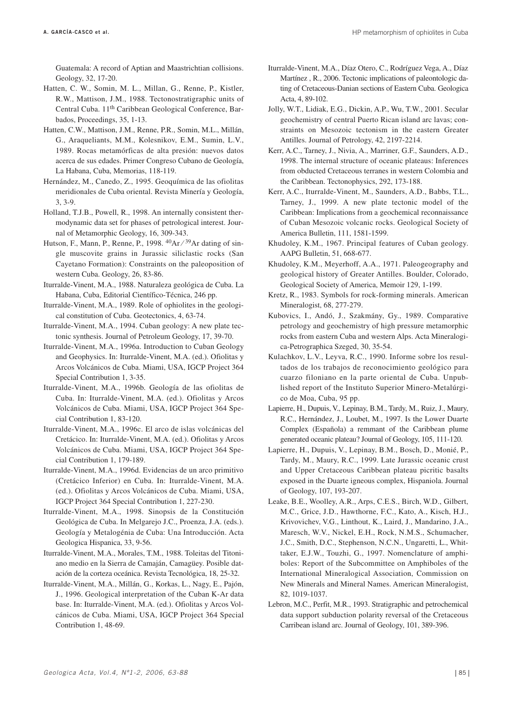Guatemala: A record of Aptian and Maastrichtian collisions. Geology, 32, 17-20.

- Hatten, C. W., Somin, M. L., Millan, G., Renne, P., Kistler, R.W., Mattison, J.M., 1988. Tectonostratigraphic units of Central Cuba. 11th Caribbean Geological Conference, Barbados, Proceedings, 35, 1-13.
- Hatten, C.W., Mattison, J.M., Renne, P.R., Somin, M.L., Millán, G., Araqueliants, M.M., Kolesnikov, E.M., Sumin, L.V., 1989. Rocas metamórficas de alta presión: nuevos datos acerca de sus edades. Primer Congreso Cubano de Geología, La Habana, Cuba, Memorias, 118-119.
- Hernández, M., Canedo, Z., 1995. Geoquímica de las ofiolitas meridionales de Cuba oriental. Revista Minería y Geología, 3, 3-9.
- Holland, T.J.B., Powell, R., 1998. An internally consistent thermodynamic data set for phases of petrological interest. Journal of Metamorphic Geology, 16, 309-343.
- Hutson, F., Mann, P., Renne, P., 1998.  $^{40}Ar/^{39}Ar$  dating of single muscovite grains in Jurassic siliclastic rocks (San Cayetano Formation): Constraints on the paleoposition of western Cuba. Geology, 26, 83-86.
- Iturralde-Vinent, M.A., 1988. Naturaleza geológica de Cuba. La Habana, Cuba, Editorial Científico-Técnica, 246 pp.
- Iturralde-Vinent, M.A., 1989. Role of ophiolites in the geological constitution of Cuba. Geotectonics, 4, 63-74.
- Iturralde-Vinent, M.A., 1994. Cuban geology: A new plate tectonic synthesis. Journal of Petroleum Geology, 17, 39-70.
- Iturralde-Vinent, M.A., 1996a. Introduction to Cuban Geology and Geophysics. In: Iturralde-Vinent, M.A. (ed.). Ofiolitas y Arcos Volcánicos de Cuba. Miami, USA, IGCP Project 364 Special Contribution 1, 3-35.
- Iturralde-Vinent, M.A., 1996b. Geología de las ofiolitas de Cuba. In: Iturralde-Vinent, M.A. (ed.). Ofiolitas y Arcos Volcánicos de Cuba. Miami, USA, IGCP Project 364 Special Contribution 1, 83-120.
- Iturralde-Vinent, M.A., 1996c. El arco de islas volcánicas del Cretácico. In: Iturralde-Vinent, M.A. (ed.). Ofiolitas y Arcos Volcánicos de Cuba. Miami, USA, IGCP Project 364 Special Contribution 1, 179-189.
- Iturralde-Vinent, M.A., 1996d. Evidencias de un arco primitivo (Cretácico Inferior) en Cuba. In: Iturralde-Vinent, M.A. (ed.). Ofiolitas y Arcos Volcánicos de Cuba. Miami, USA, IGCP Project 364 Special Contribution 1, 227-230.
- Iturralde-Vinent, M.A., 1998. Sinopsis de la Constitución Geológica de Cuba. In Melgarejo J.C., Proenza, J.A. (eds.). Geología y Metalogénia de Cuba: Una Introducción. Acta Geologica Hispanica, 33, 9-56.
- Iturralde-Vinent, M.A., Morales, T.M., 1988. Toleitas del Titoniano medio en la Sierra de Camaján, Camagüey. Posible datación de la corteza oceánica. Revista Tecnológica, 18, 25-32.
- Iturralde-Vinent, M.A., Millán, G., Korkas, L., Nagy, E., Pajón, J., 1996. Geological interpretation of the Cuban K-Ar data base. In: Iturralde-Vinent, M.A. (ed.). Ofiolitas y Arcos Volcánicos de Cuba. Miami, USA, IGCP Project 364 Special Contribution 1, 48-69.
- Iturralde-Vinent, M.A., Díaz Otero, C., Rodríguez Vega, A., Díaz Martínez , R., 2006. Tectonic implications of paleontologic dating of Cretaceous-Danian sections of Eastern Cuba. Geologica Acta, 4, 89-102.
- Jolly, W.T., Lidiak, E.G., Dickin, A.P., Wu, T.W., 2001. Secular geochemistry of central Puerto Rican island arc lavas; constraints on Mesozoic tectonism in the eastern Greater Antilles. Journal of Petrology, 42, 2197-2214.
- Kerr, A.C., Tarney, J., Nivia, A., Marriner, G.F., Saunders, A.D., 1998. The internal structure of oceanic plateaus: Inferences from obducted Cretaceous terranes in western Colombia and the Caribbean. Tectonophysics, 292, 173-188.
- Kerr, A.C., Iturralde-Vinent, M., Saunders, A.D., Babbs, T.L., Tarney, J., 1999. A new plate tectonic model of the Caribbean: Implications from a geochemical reconnaissance of Cuban Mesozoic volcanic rocks. Geological Society of America Bulletin, 111, 1581-1599.
- Khudoley, K.M., 1967. Principal features of Cuban geology. AAPG Bulletin, 51, 668-677.
- Khudoley, K.M., Meyerhoff, A.A., 1971. Paleogeography and geological history of Greater Antilles. Boulder, Colorado, Geological Society of America, Memoir 129, 1-199.
- Kretz, R., 1983. Symbols for rock-forming minerals. American Mineralogist, 68, 277-279.
- Kubovics, I., Andó, J., Szakmány, Gy., 1989. Comparative petrology and geochemistry of high pressure metamorphic rocks from eastern Cuba and western Alps. Acta Mineralogica-Petrographica Szeged, 30, 35-54.
- Kulachkov, L.V., Leyva, R.C., 1990. Informe sobre los resultados de los trabajos de reconocimiento geológico para cuarzo filoniano en la parte oriental de Cuba. Unpublished report of the Instituto Superior Minero-Metalúrgico de Moa, Cuba, 95 pp.
- Lapierre, H., Dupuis, V., Lepinay, B.M., Tardy, M., Ruiz, J., Maury, R.C., Hernández, J., Loubet, M., 1997. Is the Lower Duarte Complex (Española) a remmant of the Caribbean plume generated oceanic plateau? Journal of Geology, 105, 111-120.
- Lapierre, H., Dupuis, V., Lepinay, B.M., Bosch, D., Monié, P., Tardy, M., Maury, R.C., 1999. Late Jurassic oceanic crust and Upper Cretaceous Caribbean plateau picritic basalts exposed in the Duarte igneous complex, Hispaniola. Journal of Geology, 107, 193-207.
- Leake, B.E., Woolley, A.R., Arps, C.E.S., Birch, W.D., Gilbert, M.C., Grice, J.D., Hawthorne, F.C., Kato, A., Kisch, H.J., Krivovichev, V.G., Linthout, K., Laird, J., Mandarino, J.A., Maresch, W.V., Nickel, E.H., Rock, N.M.S., Schumacher, J.C., Smith, D.C., Stephenson, N.C.N., Ungaretti, L., Whittaker, E.J.W., Touzhi, G., 1997. Nomenclature of amphiboles: Report of the Subcommittee on Amphiboles of the International Mineralogical Association, Commission on New Minerals and Mineral Names. American Mineralogist, 82, 1019-1037.
- Lebron, M.C., Perfit, M.R., 1993. Stratigraphic and petrochemical data support subduction polarity reversal of the Cretaceous Carribean island arc. Journal of Geology, 101, 389-396.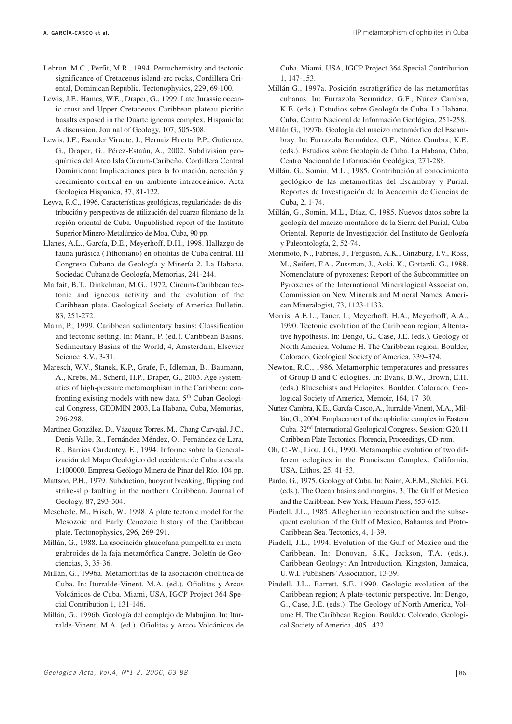- Lebron, M.C., Perfit, M.R., 1994. Petrochemistry and tectonic significance of Cretaceous island-arc rocks, Cordillera Oriental, Dominican Republic. Tectonophysics, 229, 69-100.
- Lewis, J.F., Hames, W.E., Draper, G., 1999. Late Jurassic oceanic crust and Upper Cretaceous Caribbean plateau picritic basalts exposed in the Duarte igneous complex, Hispaniola: A discussion. Journal of Geology, 107, 505-508.
- Lewis, J.F., Escuder Viruete, J., Hernaiz Huerta, P.P., Gutierrez, G., Draper, G., Pérez-Estaún, A., 2002. Subdivisión geoquímica del Arco Isla Circum-Caribeño, Cordillera Central Dominicana: Implicaciones para la formación, acreción y crecimiento cortical en un ambiente intraoceánico. Acta Geologica Hispanica, 37, 81-122.
- Leyva, R.C., 1996. Características geológicas, regularidades de distribución y perspectivas de utilización del cuarzo filoniano de la región oriental de Cuba. Unpublished report of the Instituto Superior Minero-Metalúrgico de Moa, Cuba, 90 pp.
- Llanes, A.L., García, D.E., Meyerhoff, D.H., 1998. Hallazgo de fauna jurásica (Tithoniano) en ofiolitas de Cuba central. III Congreso Cubano de Geología y Minería 2. La Habana, Sociedad Cubana de Geología, Memorias, 241-244.
- Malfait, B.T., Dinkelman, M.G., 1972. Circum-Caribbean tectonic and igneous activity and the evolution of the Caribbean plate. Geological Society of America Bulletin, 83, 251-272.
- Mann, P., 1999. Caribbean sedimentary basins: Classification and tectonic setting. In: Mann, P. (ed.). Caribbean Basins. Sedimentary Basins of the World, 4, Amsterdam, Elsevier Science B.V., 3-31.
- Maresch, W.V., Stanek, K.P., Grafe, F., Idleman, B., Baumann, A., Krebs, M., Schertl, H.P., Draper, G., 2003. Age systematics of high-pressure metamorphism in the Caribbean: confronting existing models with new data. 5<sup>th</sup> Cuban Geological Congress, GEOMIN 2003, La Habana, Cuba, Memorias, 296-298.
- Martínez González, D., Vázquez Torres, M., Chang Carvajal, J.C., Denis Valle, R., Fernández Méndez, O., Fernández de Lara, R., Barrios Cardentey, E., 1994. Informe sobre la Generalización del Mapa Geológico del occidente de Cuba a escala 1:100000. Empresa Geólogo Minera de Pinar del Río. 104 pp.
- Mattson, P.H., 1979. Subduction, buoyant breaking, flipping and strike-slip faulting in the northern Caribbean. Journal of Geology, 87, 293-304.
- Meschede, M., Frisch, W., 1998. A plate tectonic model for the Mesozoic and Early Cenozoic history of the Caribbean plate. Tectonophysics, 296, 269-291.
- Millán, G., 1988. La asociación glaucofana-pumpellita en metagrabroides de la faja metamórfica Cangre. Boletín de Geociencias, 3, 35-36.
- Millán, G., 1996a. Metamorfitas de la asociación ofiolítica de Cuba. In: Iturralde-Vinent, M.A. (ed.). Ofiolitas y Arcos Volcánicos de Cuba. Miami, USA, IGCP Project 364 Special Contribution 1, 131-146.
- Millán, G., 1996b. Geología del complejo de Mabujina. In: Iturralde-Vinent, M.A. (ed.). Ofiolitas y Arcos Volcánicos de

Cuba. Miami, USA, IGCP Project 364 Special Contribution 1, 147-153.

- Millán G., 1997a. Posición estratigráfica de las metamorfitas cubanas. In: Furrazola Bermúdez, G.F., Núñez Cambra, K.E. (eds.). Estudios sobre Geología de Cuba. La Habana, Cuba, Centro Nacional de Información Geológica, 251-258.
- Millán G., 1997b. Geología del macizo metamórfico del Escambray. In: Furrazola Bermúdez, G.F., Núñez Cambra, K.E. (eds.). Estudios sobre Geología de Cuba. La Habana, Cuba, Centro Nacional de Información Geológica, 271-288.
- Millán, G., Somin, M.L., 1985. Contribución al conocimiento geológico de las metamorfitas del Escambray y Purial. Reportes de Investigación de la Academia de Ciencias de Cuba, 2, 1-74.
- Millán, G., Somin, M.L., Díaz, C, 1985. Nuevos datos sobre la geología del macizo montañoso de la Sierra del Purial, Cuba Oriental. Reporte de Investigación del Instituto de Geología y Paleontología, 2, 52-74.
- Morimoto, N., Fabries, J., Ferguson, A.K., Ginzburg, I.V., Ross, M., Seifert, F.A., Zussman, J., Aoki, K., Gottardi, G., 1988. Nomenclature of pyroxenes: Report of the Subcommittee on Pyroxenes of the International Mineralogical Association, Commission on New Minerals and Mineral Names. American Mineralogist, 73, 1123-1133.
- Morris, A.E.L., Taner, I., Meyerhoff, H.A., Meyerhoff, A.A., 1990. Tectonic evolution of the Caribbean region; Alternative hypothesis. In: Dengo, G., Case, J.E. (eds.). Geology of North America. Volume H. The Caribbean region. Boulder, Colorado, Geological Society of America, 339–374.
- Newton, R.C., 1986. Metamorphic temperatures and pressures of Group B and C eclogites. In: Evans, B.W., Brown, E.H. (eds.) Blueschists and Eclogites. Boulder, Colorado, Geological Society of America, Memoir, 164, 17–30.
- Nuñez Cambra, K.E., García-Casco, A., Iturralde-Vinent, M.A., Millán, G., 2004. Emplacement of the ophiolite complex in Eastern Cuba. 32nd International Geological Congress, Session: G20.11 Caribbean Plate Tectonics. Florencia, Proceedings, CD-rom.
- Oh, C.-W., Liou, J.G., 1990. Metamorphic evolution of two different eclogites in the Franciscan Complex, California, USA. Lithos, 25, 41-53.
- Pardo, G., 1975. Geology of Cuba. In: Nairn, A.E.M., Stehlei, F.G. (eds.). The Ocean basins and margins, 3, The Gulf of Mexico and the Caribbean. New York, Plenum Press, 553-615.
- Pindell, J.L., 1985. Alleghenian reconstruction and the subsequent evolution of the Gulf of Mexico, Bahamas and Proto-Caribbean Sea. Tectonics, 4, 1-39.
- Pindell, J.L., 1994. Evolution of the Gulf of Mexico and the Caribbean. In: Donovan, S.K., Jackson, T.A. (eds.). Caribbean Geology: An Introduction. Kingston, Jamaica, U.W.I. Publishers'Association, 13-39.
- Pindell, J.L., Barrett, S.F., 1990. Geologic evolution of the Caribbean region; A plate-tectonic perspective. In: Dengo, G., Case, J.E. (eds.). The Geology of North America, Volume H. The Caribbean Region. Boulder, Colorado, Geological Society of America, 405– 432.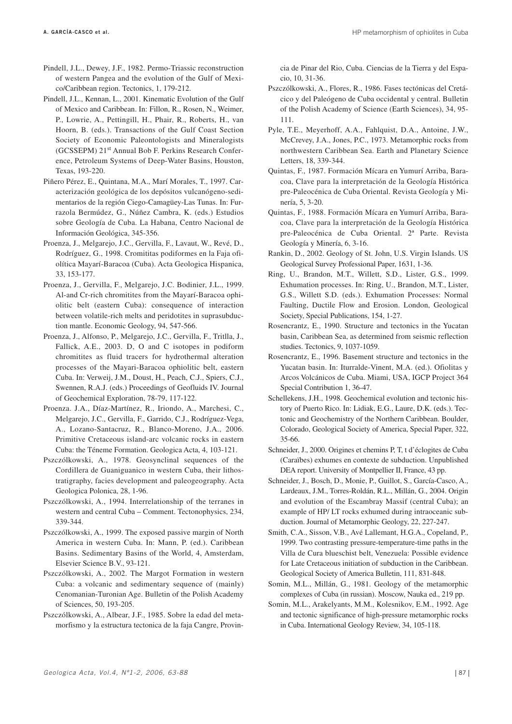- Pindell, J.L., Dewey, J.F., 1982. Permo-Triassic reconstruction of western Pangea and the evolution of the Gulf of Mexico/Caribbean region. Tectonics, 1, 179-212.
- Pindell, J.L., Kennan, L., 2001. Kinematic Evolution of the Gulf of Mexico and Caribbean. In: Fillon, R., Rosen, N., Weimer, P., Lowrie, A., Pettingill, H., Phair, R., Roberts, H., van Hoorn, B. (eds.). Transactions of the Gulf Coast Section Society of Economic Paleontologists and Mineralogists (GCSSEPM) 21st Annual Bob F. Perkins Research Conference, Petroleum Systems of Deep-Water Basins, Houston, Texas, 193-220.
- Piñero Pérez, E., Quintana, M.A., Marí Morales, T., 1997. Caracterización geológica de los depósitos vulcanógeno-sedimentarios de la región Ciego-Camagüey-Las Tunas. In: Furrazola Bermúdez, G., Núñez Cambra, K. (eds.) Estudios sobre Geología de Cuba. La Habana, Centro Nacional de Información Geológica, 345-356.
- Proenza, J., Melgarejo, J.C., Gervilla, F., Lavaut, W., Revé, D., Rodríguez, G., 1998. Cromititas podiformes en la Faja ofiolítica Mayarí-Baracoa (Cuba). Acta Geologica Hispanica, 33, 153-177.
- Proenza, J., Gervilla, F., Melgarejo, J.C. Bodinier, J.L., 1999. Al-and Cr-rich chromitites from the Mayarí-Baracoa ophiolitic belt (eastern Cuba): consequence of interaction between volatile-rich melts and peridotites in suprasubduction mantle. Economic Geology, 94, 547-566.
- Proenza, J., Alfonso, P., Melgarejo, J.C., Gervilla, F., Tritlla, J., Fallick, A.E., 2003. D, O and C isotopes in podiform chromitites as fluid tracers for hydrothermal alteration processes of the Mayari-Baracoa ophiolitic belt, eastern Cuba. In: Verweij, J.M., Doust, H., Peach, C.J., Spiers, C.J., Swennen, R.A.J. (eds.) Proceedings of Geofluids IV. Journal of Geochemical Exploration, 78-79, 117-122.
- Proenza. J.A., Díaz-Martínez, R., Iriondo, A., Marchesi, C., Melgarejo, J.C., Gervilla, F., Garrido, C.J., Rodríguez-Vega, A., Lozano-Santacruz, R., Blanco-Moreno, J.A., 2006. Primitive Cretaceous island-arc volcanic rocks in eastern Cuba: the Téneme Formation. Geologica Acta, 4, 103-121.
- Pszczólkowski, A., 1978. Geosynclinal sequences of the Cordillera de Guaniguanico in western Cuba, their lithostratigraphy, facies development and paleogeography. Acta Geologica Polonica, 28, 1-96.
- Pszczólkowski, A., 1994. Interrelationship of the terranes in western and central Cuba – Comment. Tectonophysics, 234, 339-344.
- Pszczólkowski, A., 1999. The exposed passive margin of North America in western Cuba. In: Mann, P. (ed.). Caribbean Basins. Sedimentary Basins of the World, 4, Amsterdam, Elsevier Science B.V., 93-121.
- Pszczólkowski, A., 2002. The Margot Formation in western Cuba: a volcanic and sedimentary sequence of (mainly) Cenomanian-Turonian Age. Bulletin of the Polish Academy of Sciences, 50, 193-205.
- Pszczólkowski, A., Albear, J.F., 1985. Sobre la edad del metamorfismo y la estructura tectonica de la faja Cangre, Provin-

cia de Pinar del Rio, Cuba. Ciencias de la Tierra y del Espacio, 10, 31-36.

- Pszczólkowski, A., Flores, R., 1986. Fases tectónicas del Cretácico y del Paleógeno de Cuba occidental y central. Bulletin of the Polish Academy of Science (Earth Sciences), 34, 95- 111.
- Pyle, T.E., Meyerhoff, A.A., Fahlquist, D.A., Antoine, J.W., McCrevey, J.A., Jones, P.C., 1973. Metamorphic rocks from northwestern Caribbean Sea. Earth and Planetary Science Letters, 18, 339-344.
- Quintas, F., 1987. Formación Mícara en Yumurí Arriba, Baracoa, Clave para la interpretación de la Geología Histórica pre-Paleocénica de Cuba Oriental. Revista Geología y Minería, 5, 3-20.
- Quintas, F., 1988. Formación Mícara en Yumurí Arriba, Baracoa, Clave para la interpretación de la Geología Histórica pre-Paleocénica de Cuba Oriental. 2ª Parte. Revista Geología y Minería, 6, 3-16.
- Rankin, D., 2002. Geology of St. John, U.S. Virgin Islands. US Geological Survey Professional Paper, 1631, 1-36.
- Ring, U., Brandon, M.T., Willett, S.D., Lister, G.S., 1999. Exhumation processes. In: Ring, U., Brandon, M.T., Lister, G.S., Willett S.D. (eds.). Exhumation Processes: Normal Faulting, Ductile Flow and Erosion. London, Geological Society, Special Publications, 154, 1-27.
- Rosencrantz, E., 1990. Structure and tectonics in the Yucatan basin, Caribbean Sea, as determined from seismic reflection studies. Tectonics, 9, 1037-1059.
- Rosencrantz, E., 1996. Basement structure and tectonics in the Yucatan basin. In: Iturralde-Vinent, M.A. (ed.). Ofiolitas y Arcos Volcánicos de Cuba. Miami, USA, IGCP Project 364 Special Contribution 1, 36-47.
- Schellekens, J.H., 1998. Geochemical evolution and tectonic history of Puerto Rico. In: Lidiak, E.G., Laure, D.K. (eds.). Tectonic and Geochemistry of the Northern Caribbean. Boulder, Colorado, Geological Society of America, Special Paper, 322, 35-66.
- Schneider, J., 2000. Origines et chemins P, T, t d'éclogites de Cuba (Caraïbes) exhumes en contexte de subduction. Unpublished DEA report. University of Montpellier II, France, 43 pp.
- Schneider, J., Bosch, D., Monie, P., Guillot, S., García-Casco, A., Lardeaux, J.M., Torres-Roldán, R.L., Millán, G., 2004. Origin and evolution of the Escambray Massif (central Cuba); an example of HP/ LT rocks exhumed during intraoceanic subduction. Journal of Metamorphic Geology, 22, 227-247.
- Smith, C.A., Sisson, V.B., Avé Lallemant, H.G.A., Copeland, P., 1999. Two contrasting pressure-temperature-time paths in the Villa de Cura blueschist belt, Venezuela: Possible evidence for Late Cretaceous initiation of subduction in the Caribbean. Geological Society of America Bulletin, 111, 831-848.
- Somin, M.L., Millán, G., 1981. Geology of the metamorphic complexes of Cuba (in russian). Moscow, Nauka ed., 219 pp.
- Somin, M.L., Arakelyants, M.M., Kolesnikov, E.M., 1992. Age and tectonic significance of high-pressure metamorphic rocks in Cuba. International Geology Review, 34, 105-118.